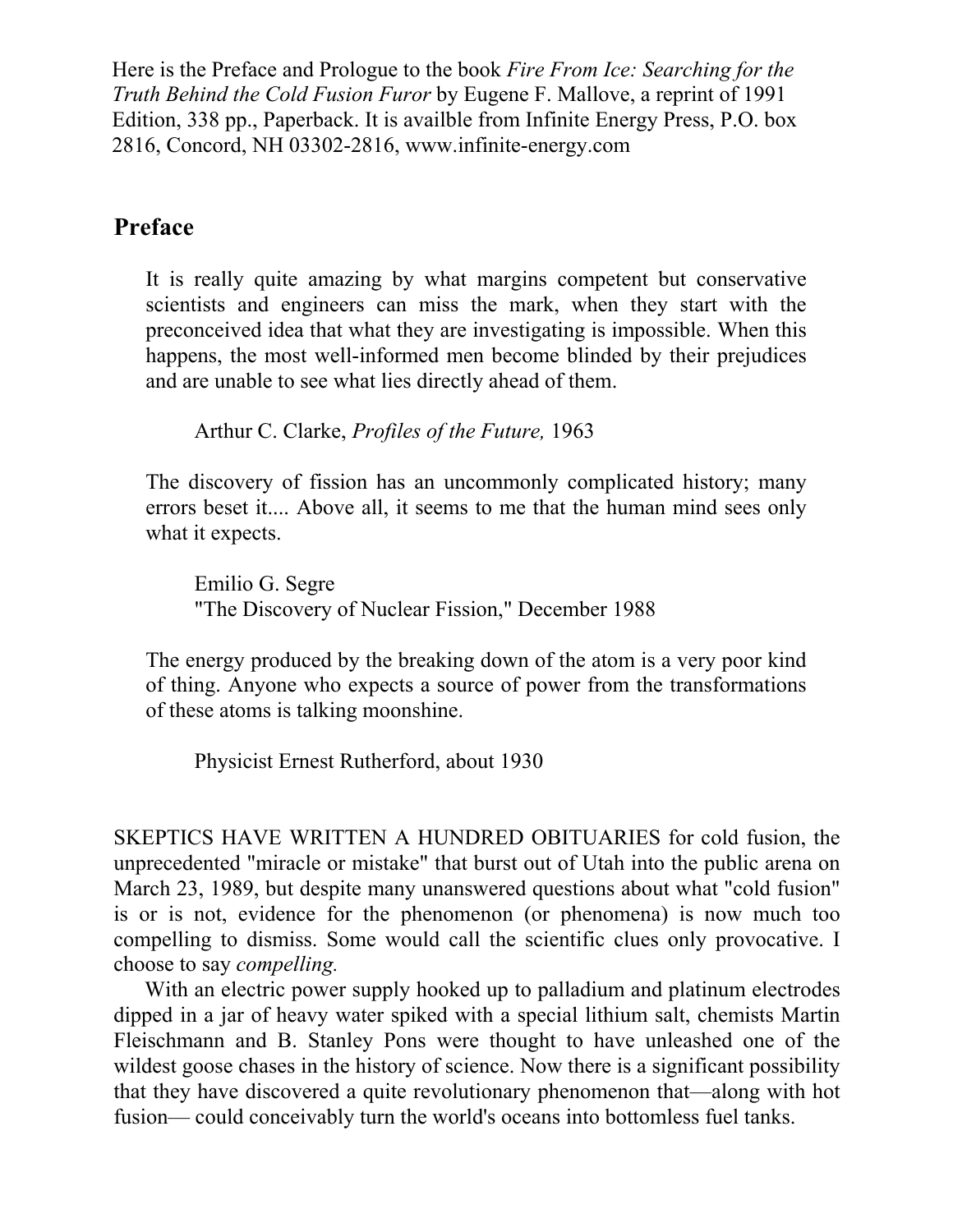Here is the Preface and Prologue to the book *Fire From Ice: Searching for the Truth Behind the Cold Fusion Furor* by Eugene F. Mallove, a reprint of 1991 Edition, 338 pp., Paperback. It is availble from Infinite Energy Press, P.O. box 2816, Concord, NH 03302-2816, www.infinite-energy.com

# **Preface**

It is really quite amazing by what margins competent but conservative scientists and engineers can miss the mark, when they start with the preconceived idea that what they are investigating is impossible. When this happens, the most well-informed men become blinded by their prejudices and are unable to see what lies directly ahead of them.

Arthur C. Clarke, *Profiles of the Future,* 1963

The discovery of fission has an uncommonly complicated history; many errors beset it.... Above all, it seems to me that the human mind sees only what it expects.

 Emilio G. Segre "The Discovery of Nuclear Fission," December 1988

The energy produced by the breaking down of the atom is a very poor kind of thing. Anyone who expects a source of power from the transformations of these atoms is talking moonshine.

Physicist Ernest Rutherford, about 1930

SKEPTICS HAVE WRITTEN A HUNDRED OBITUARIES for cold fusion, the unprecedented "miracle or mistake" that burst out of Utah into the public arena on March 23, 1989, but despite many unanswered questions about what "cold fusion" is or is not, evidence for the phenomenon (or phenomena) is now much too compelling to dismiss. Some would call the scientific clues only provocative. I choose to say *compelling.* 

With an electric power supply hooked up to palladium and platinum electrodes dipped in a jar of heavy water spiked with a special lithium salt, chemists Martin Fleischmann and B. Stanley Pons were thought to have unleashed one of the wildest goose chases in the history of science. Now there is a significant possibility that they have discovered a quite revolutionary phenomenon that—along with hot fusion— could conceivably turn the world's oceans into bottomless fuel tanks.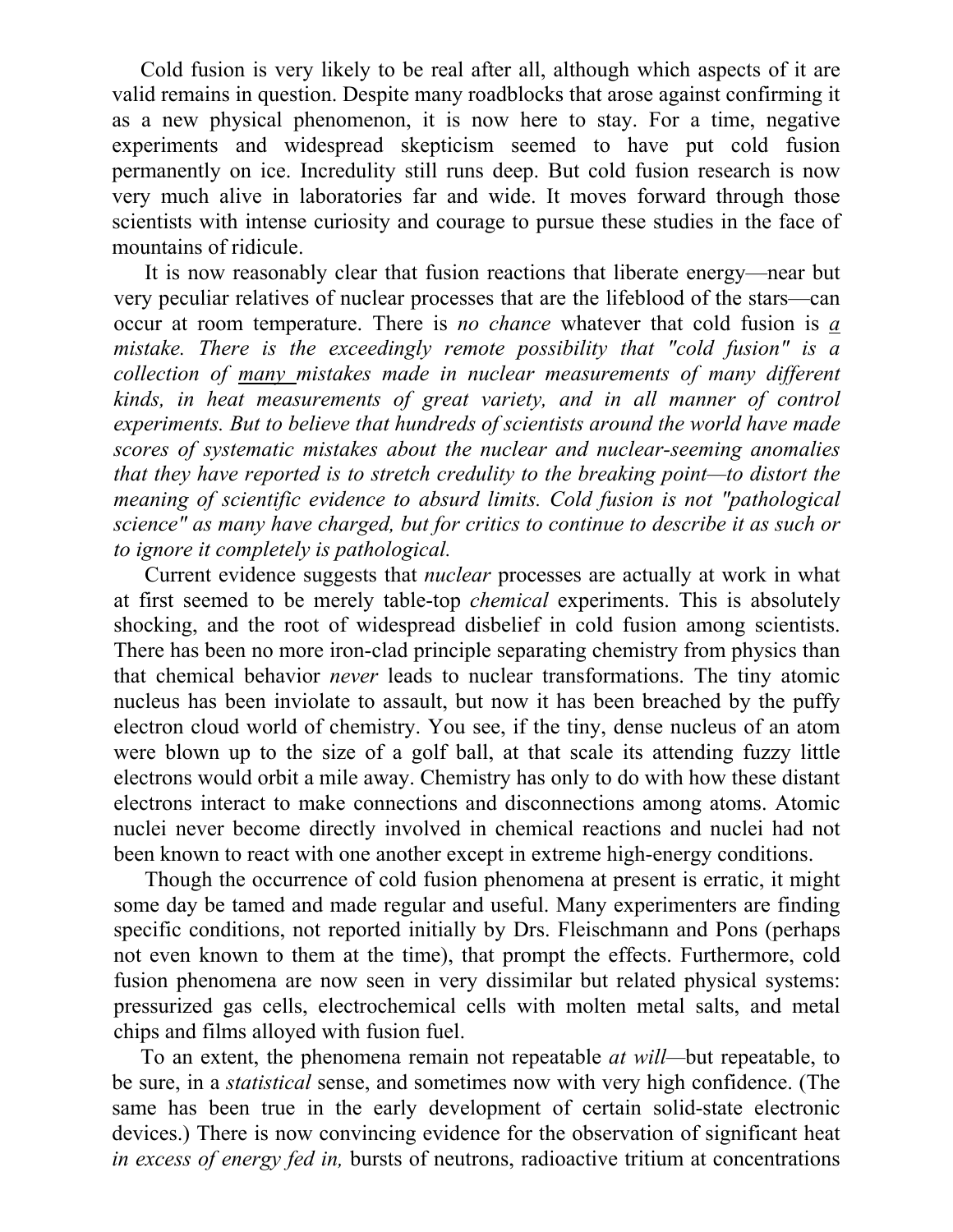Cold fusion is very likely to be real after all, although which aspects of it are valid remains in question. Despite many roadblocks that arose against confirming it as a new physical phenomenon, it is now here to stay. For a time, negative experiments and widespread skepticism seemed to have put cold fusion permanently on ice. Incredulity still runs deep. But cold fusion research is now very much alive in laboratories far and wide. It moves forward through those scientists with intense curiosity and courage to pursue these studies in the face of mountains of ridicule.

 It is now reasonably clear that fusion reactions that liberate energy—near but very peculiar relatives of nuclear processes that are the lifeblood of the stars—can occur at room temperature. There is *no chance* whatever that cold fusion is *a mistake. There is the exceedingly remote possibility that "cold fusion" is a collection of many mistakes made in nuclear measurements of many different kinds, in heat measurements of great variety, and in all manner of control experiments. But to believe that hundreds of scientists around the world have made scores of systematic mistakes about the nuclear and nuclear-seeming anomalies that they have reported is to stretch credulity to the breaking point—to distort the meaning of scientific evidence to absurd limits. Cold fusion is not "pathological science" as many have charged, but for critics to continue to describe it as such or to ignore it completely is pathological.* 

Current evidence suggests that *nuclear* processes are actually at work in what at first seemed to be merely table-top *chemical* experiments. This is absolutely shocking, and the root of widespread disbelief in cold fusion among scientists. There has been no more iron-clad principle separating chemistry from physics than that chemical behavior *never* leads to nuclear transformations. The tiny atomic nucleus has been inviolate to assault, but now it has been breached by the puffy electron cloud world of chemistry. You see, if the tiny, dense nucleus of an atom were blown up to the size of a golf ball, at that scale its attending fuzzy little electrons would orbit a mile away. Chemistry has only to do with how these distant electrons interact to make connections and disconnections among atoms. Atomic nuclei never become directly involved in chemical reactions and nuclei had not been known to react with one another except in extreme high-energy conditions.

Though the occurrence of cold fusion phenomena at present is erratic, it might some day be tamed and made regular and useful. Many experimenters are finding specific conditions, not reported initially by Drs. Fleischmann and Pons (perhaps not even known to them at the time), that prompt the effects. Furthermore, cold fusion phenomena are now seen in very dissimilar but related physical systems: pressurized gas cells, electrochemical cells with molten metal salts, and metal chips and films alloyed with fusion fuel.

 To an extent, the phenomena remain not repeatable *at will—*but repeatable, to be sure, in a *statistical* sense, and sometimes now with very high confidence. (The same has been true in the early development of certain solid-state electronic devices.) There is now convincing evidence for the observation of significant heat *in excess of energy fed in,* bursts of neutrons, radioactive tritium at concentrations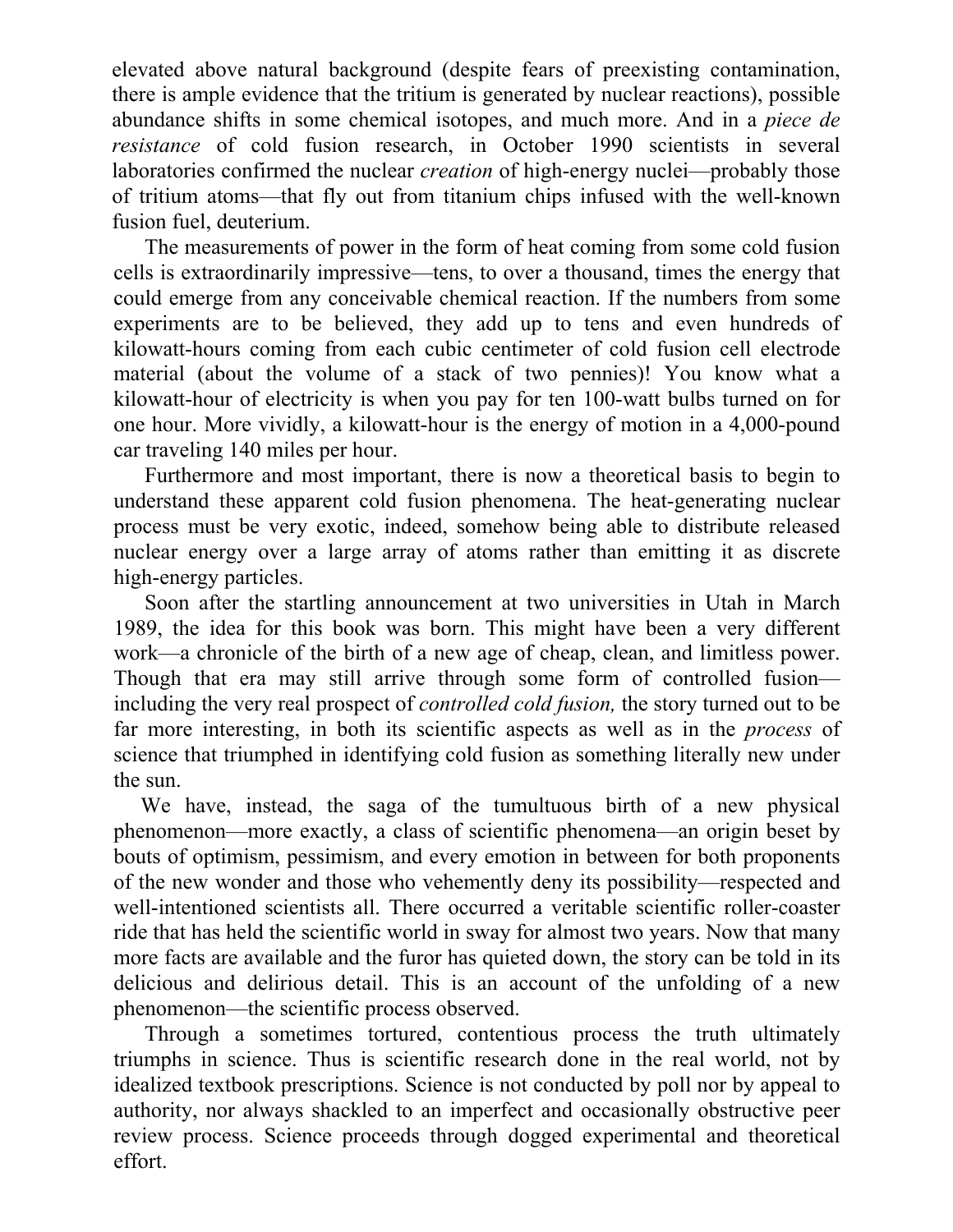elevated above natural background (despite fears of preexisting contamination, there is ample evidence that the tritium is generated by nuclear reactions), possible abundance shifts in some chemical isotopes, and much more. And in a *piece de resistance* of cold fusion research, in October 1990 scientists in several laboratories confirmed the nuclear *creation* of high-energy nuclei—probably those of tritium atoms—that fly out from titanium chips infused with the well-known fusion fuel, deuterium.

The measurements of power in the form of heat coming from some cold fusion cells is extraordinarily impressive—tens, to over a thousand, times the energy that could emerge from any conceivable chemical reaction. If the numbers from some experiments are to be believed, they add up to tens and even hundreds of kilowatt-hours coming from each cubic centimeter of cold fusion cell electrode material (about the volume of a stack of two pennies)! You know what a kilowatt-hour of electricity is when you pay for ten 100-watt bulbs turned on for one hour. More vividly, a kilowatt-hour is the energy of motion in a 4,000-pound car traveling 140 miles per hour.

Furthermore and most important, there is now a theoretical basis to begin to understand these apparent cold fusion phenomena. The heat-generating nuclear process must be very exotic, indeed, somehow being able to distribute released nuclear energy over a large array of atoms rather than emitting it as discrete high-energy particles.

Soon after the startling announcement at two universities in Utah in March 1989, the idea for this book was born. This might have been a very different work—a chronicle of the birth of a new age of cheap, clean, and limitless power. Though that era may still arrive through some form of controlled fusion including the very real prospect of *controlled cold fusion,* the story turned out to be far more interesting, in both its scientific aspects as well as in the *process* of science that triumphed in identifying cold fusion as something literally new under the sun.

 We have, instead, the saga of the tumultuous birth of a new physical phenomenon—more exactly, a class of scientific phenomena—an origin beset by bouts of optimism, pessimism, and every emotion in between for both proponents of the new wonder and those who vehemently deny its possibility—respected and well-intentioned scientists all. There occurred a veritable scientific roller-coaster ride that has held the scientific world in sway for almost two years. Now that many more facts are available and the furor has quieted down, the story can be told in its delicious and delirious detail. This is an account of the unfolding of a new phenomenon—the scientific process observed.

Through a sometimes tortured, contentious process the truth ultimately triumphs in science. Thus is scientific research done in the real world, not by idealized textbook prescriptions. Science is not conducted by poll nor by appeal to authority, nor always shackled to an imperfect and occasionally obstructive peer review process. Science proceeds through dogged experimental and theoretical effort.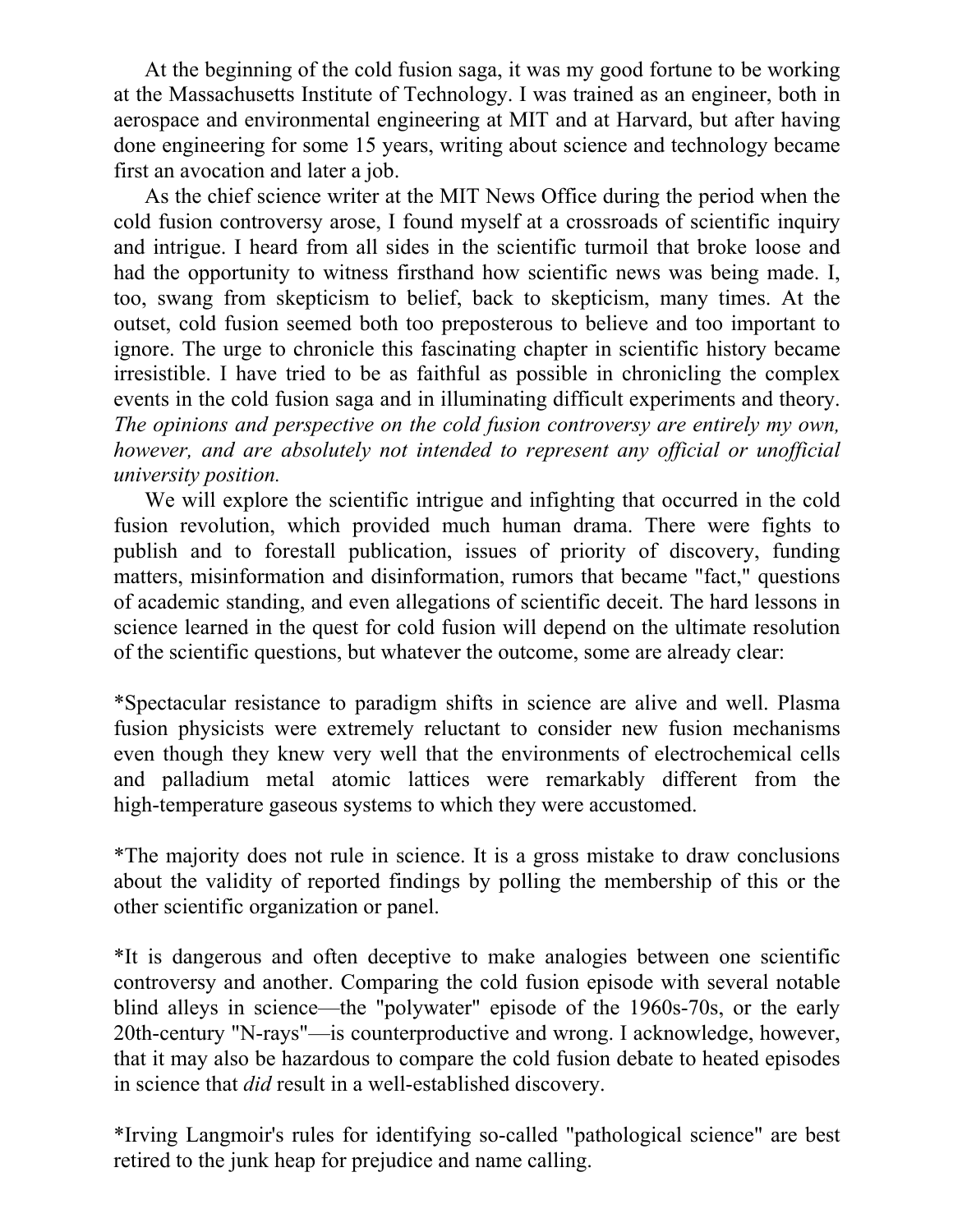At the beginning of the cold fusion saga, it was my good fortune to be working at the Massachusetts Institute of Technology. I was trained as an engineer, both in aerospace and environmental engineering at MIT and at Harvard, but after having done engineering for some 15 years, writing about science and technology became first an avocation and later a job.

As the chief science writer at the MIT News Office during the period when the cold fusion controversy arose, I found myself at a crossroads of scientific inquiry and intrigue. I heard from all sides in the scientific turmoil that broke loose and had the opportunity to witness firsthand how scientific news was being made. I, too, swang from skepticism to belief, back to skepticism, many times. At the outset, cold fusion seemed both too preposterous to believe and too important to ignore. The urge to chronicle this fascinating chapter in scientific history became irresistible. I have tried to be as faithful as possible in chronicling the complex events in the cold fusion saga and in illuminating difficult experiments and theory. *The opinions and perspective on the cold fusion controversy are entirely my own, however, and are absolutely not intended to represent any official or unofficial university position.* 

We will explore the scientific intrigue and infighting that occurred in the cold fusion revolution, which provided much human drama. There were fights to publish and to forestall publication, issues of priority of discovery, funding matters, misinformation and disinformation, rumors that became "fact," questions of academic standing, and even allegations of scientific deceit. The hard lessons in science learned in the quest for cold fusion will depend on the ultimate resolution of the scientific questions, but whatever the outcome, some are already clear:

\*Spectacular resistance to paradigm shifts in science are alive and well. Plasma fusion physicists were extremely reluctant to consider new fusion mechanisms even though they knew very well that the environments of electrochemical cells and palladium metal atomic lattices were remarkably different from the high-temperature gaseous systems to which they were accustomed.

\*The majority does not rule in science. It is a gross mistake to draw conclusions about the validity of reported findings by polling the membership of this or the other scientific organization or panel.

\*It is dangerous and often deceptive to make analogies between one scientific controversy and another. Comparing the cold fusion episode with several notable blind alleys in science—the "polywater" episode of the 1960s-70s, or the early 20th-century "N-rays"—is counterproductive and wrong. I acknowledge, however, that it may also be hazardous to compare the cold fusion debate to heated episodes in science that *did* result in a well-established discovery.

\*Irving Langmoir's rules for identifying so-called "pathological science" are best retired to the junk heap for prejudice and name calling.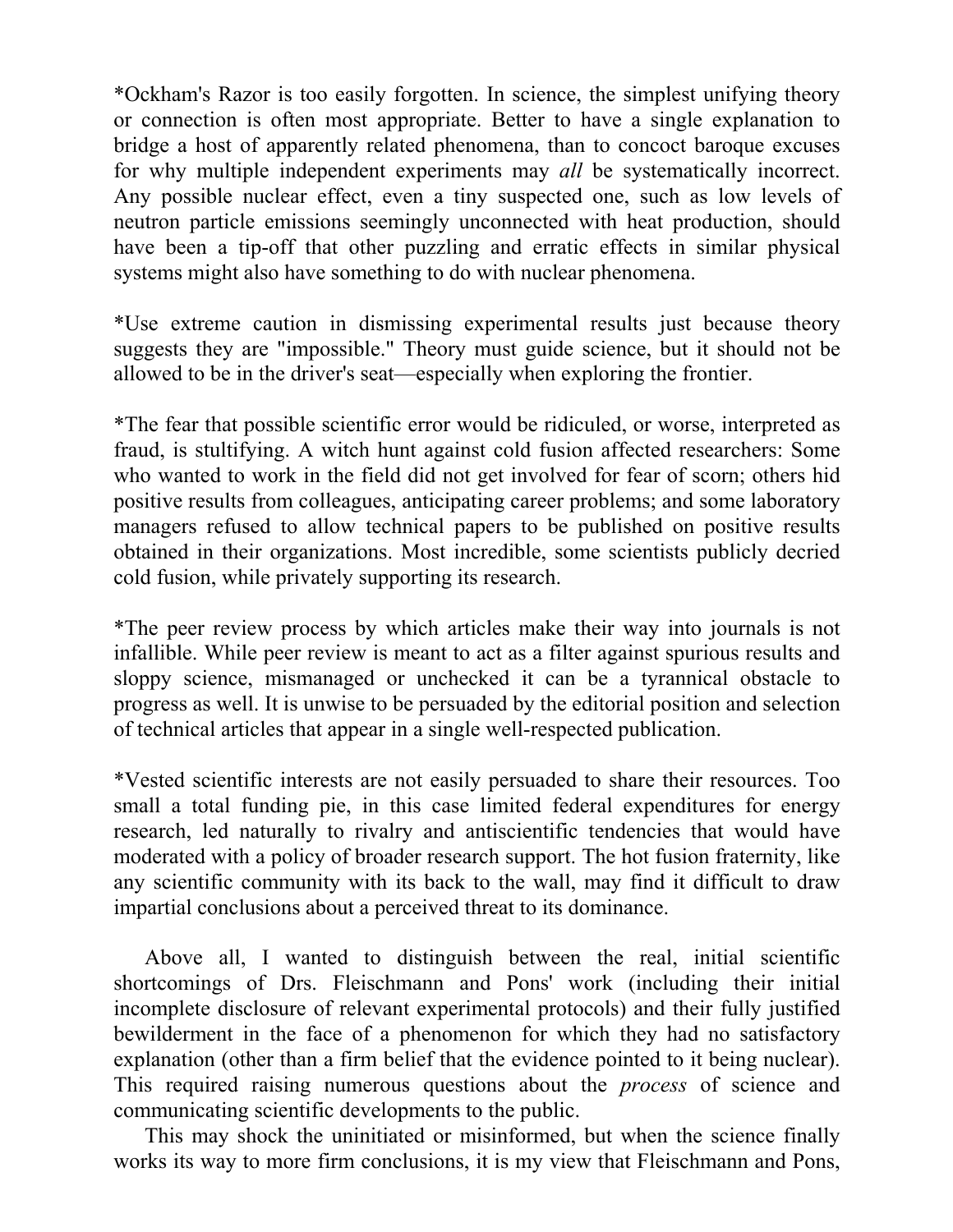\*Ockham's Razor is too easily forgotten. In science, the simplest unifying theory or connection is often most appropriate. Better to have a single explanation to bridge a host of apparently related phenomena, than to concoct baroque excuses for why multiple independent experiments may *all* be systematically incorrect. Any possible nuclear effect, even a tiny suspected one, such as low levels of neutron particle emissions seemingly unconnected with heat production, should have been a tip-off that other puzzling and erratic effects in similar physical systems might also have something to do with nuclear phenomena.

\*Use extreme caution in dismissing experimental results just because theory suggests they are "impossible." Theory must guide science, but it should not be allowed to be in the driver's seat—especially when exploring the frontier.

\*The fear that possible scientific error would be ridiculed, or worse, interpreted as fraud, is stultifying. A witch hunt against cold fusion affected researchers: Some who wanted to work in the field did not get involved for fear of scorn; others hid positive results from colleagues, anticipating career problems; and some laboratory managers refused to allow technical papers to be published on positive results obtained in their organizations. Most incredible, some scientists publicly decried cold fusion, while privately supporting its research.

\*The peer review process by which articles make their way into journals is not infallible. While peer review is meant to act as a filter against spurious results and sloppy science, mismanaged or unchecked it can be a tyrannical obstacle to progress as well. It is unwise to be persuaded by the editorial position and selection of technical articles that appear in a single well-respected publication.

\*Vested scientific interests are not easily persuaded to share their resources. Too small a total funding pie, in this case limited federal expenditures for energy research, led naturally to rivalry and antiscientific tendencies that would have moderated with a policy of broader research support. The hot fusion fraternity, like any scientific community with its back to the wall, may find it difficult to draw impartial conclusions about a perceived threat to its dominance.

Above all, I wanted to distinguish between the real, initial scientific shortcomings of Drs. Fleischmann and Pons' work (including their initial incomplete disclosure of relevant experimental protocols) and their fully justified bewilderment in the face of a phenomenon for which they had no satisfactory explanation (other than a firm belief that the evidence pointed to it being nuclear). This required raising numerous questions about the *process* of science and communicating scientific developments to the public.

This may shock the uninitiated or misinformed, but when the science finally works its way to more firm conclusions, it is my view that Fleischmann and Pons,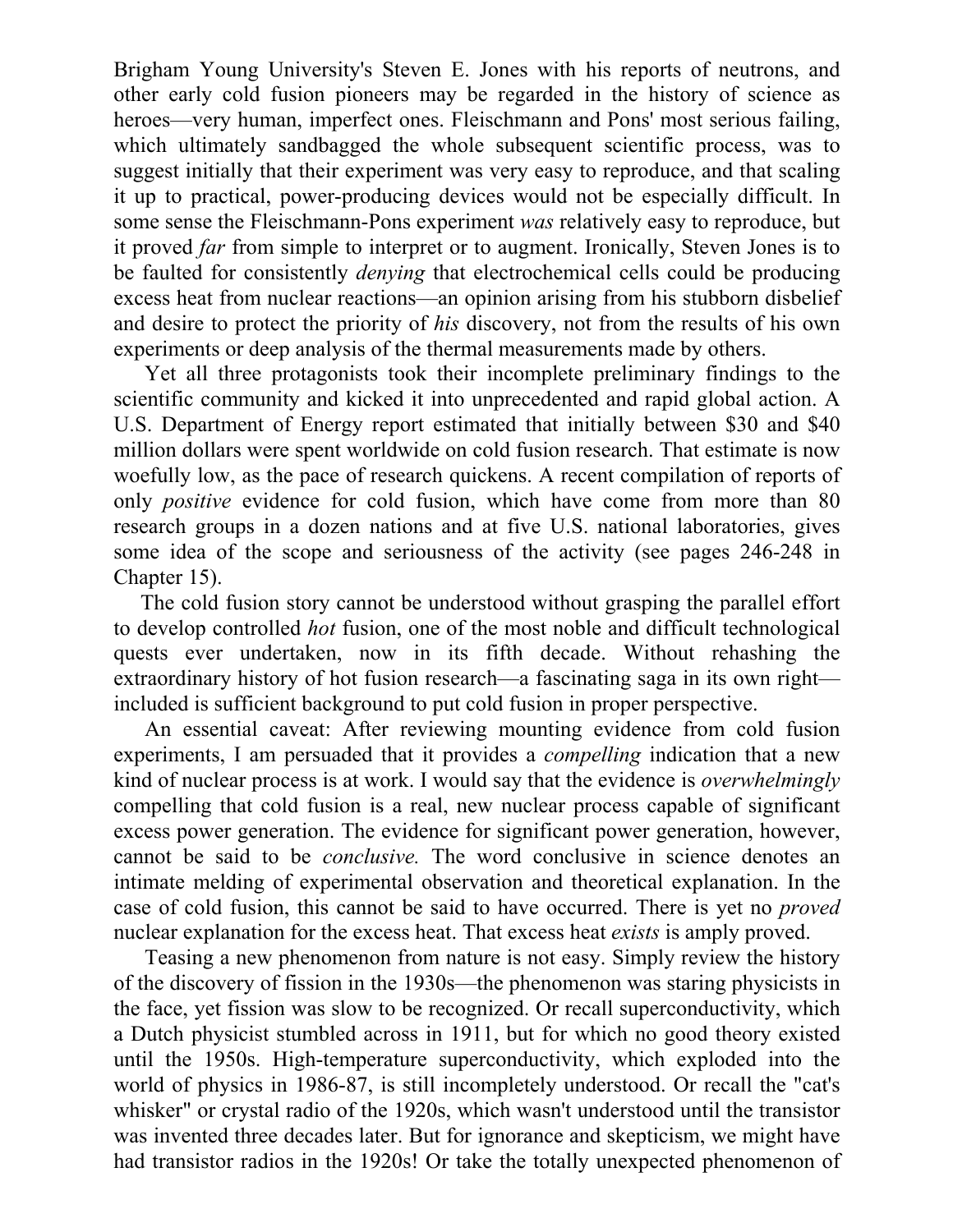Brigham Young University's Steven E. Jones with his reports of neutrons, and other early cold fusion pioneers may be regarded in the history of science as heroes—very human, imperfect ones. Fleischmann and Pons' most serious failing, which ultimately sandbagged the whole subsequent scientific process, was to suggest initially that their experiment was very easy to reproduce, and that scaling it up to practical, power-producing devices would not be especially difficult. In some sense the Fleischmann-Pons experiment *was* relatively easy to reproduce, but it proved *far* from simple to interpret or to augment. Ironically, Steven Jones is to be faulted for consistently *denying* that electrochemical cells could be producing excess heat from nuclear reactions—an opinion arising from his stubborn disbelief and desire to protect the priority of *his* discovery, not from the results of his own experiments or deep analysis of the thermal measurements made by others.

Yet all three protagonists took their incomplete preliminary findings to the scientific community and kicked it into unprecedented and rapid global action. A U.S. Department of Energy report estimated that initially between \$30 and \$40 million dollars were spent worldwide on cold fusion research. That estimate is now woefully low, as the pace of research quickens. A recent compilation of reports of only *positive* evidence for cold fusion, which have come from more than 80 research groups in a dozen nations and at five U.S. national laboratories, gives some idea of the scope and seriousness of the activity (see pages 246-248 in Chapter 15).

 The cold fusion story cannot be understood without grasping the parallel effort to develop controlled *hot* fusion, one of the most noble and difficult technological quests ever undertaken, now in its fifth decade. Without rehashing the extraordinary history of hot fusion research—a fascinating saga in its own right included is sufficient background to put cold fusion in proper perspective.

An essential caveat: After reviewing mounting evidence from cold fusion experiments, I am persuaded that it provides a *compelling* indication that a new kind of nuclear process is at work. I would say that the evidence is *overwhelmingly*  compelling that cold fusion is a real, new nuclear process capable of significant excess power generation. The evidence for significant power generation, however, cannot be said to be *conclusive.* The word conclusive in science denotes an intimate melding of experimental observation and theoretical explanation. In the case of cold fusion, this cannot be said to have occurred. There is yet no *proved*  nuclear explanation for the excess heat. That excess heat *exists* is amply proved.

Teasing a new phenomenon from nature is not easy. Simply review the history of the discovery of fission in the 1930s—the phenomenon was staring physicists in the face, yet fission was slow to be recognized. Or recall superconductivity, which a Dutch physicist stumbled across in 1911, but for which no good theory existed until the 1950s. High-temperature superconductivity, which exploded into the world of physics in 1986-87, is still incompletely understood. Or recall the "cat's whisker" or crystal radio of the 1920s, which wasn't understood until the transistor was invented three decades later. But for ignorance and skepticism, we might have had transistor radios in the 1920s! Or take the totally unexpected phenomenon of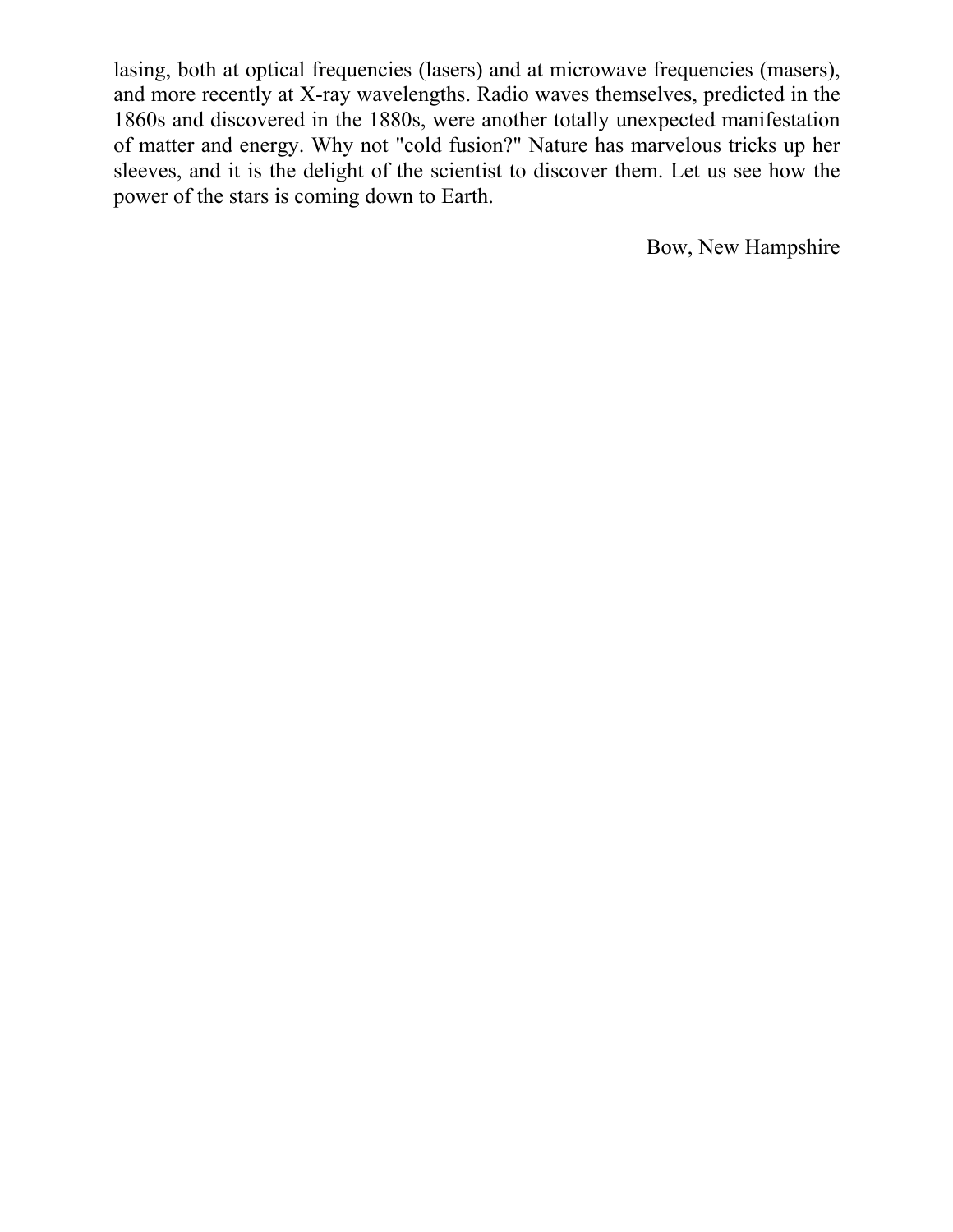lasing, both at optical frequencies (lasers) and at microwave frequencies (masers), and more recently at X-ray wavelengths. Radio waves themselves, predicted in the 1860s and discovered in the 1880s, were another totally unexpected manifestation of matter and energy. Why not "cold fusion?" Nature has marvelous tricks up her sleeves, and it is the delight of the scientist to discover them. Let us see how the power of the stars is coming down to Earth.

Bow, New Hampshire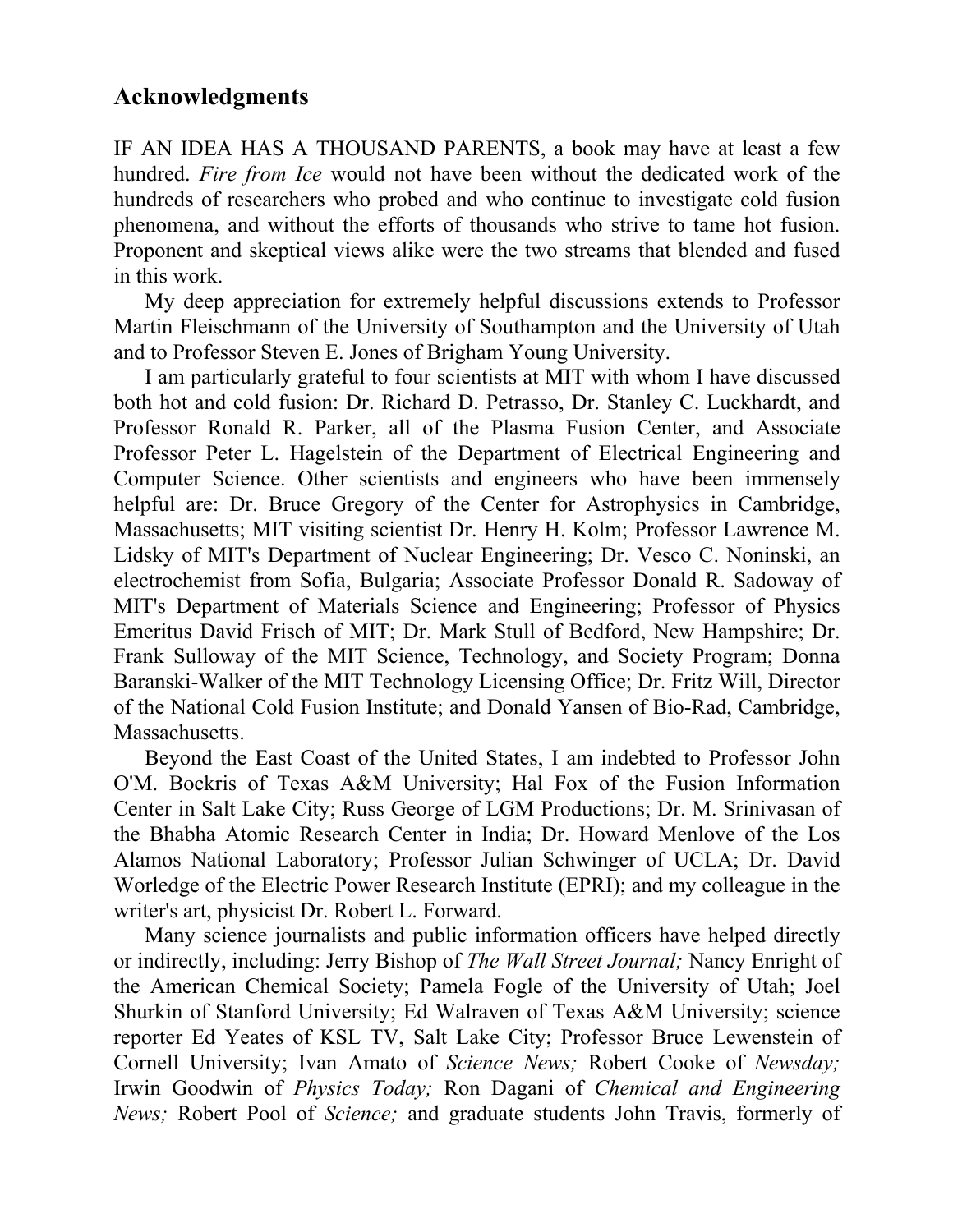## **Acknowledgments**

IF AN IDEA HAS A THOUSAND PARENTS, a book may have at least a few hundred. *Fire from Ice* would not have been without the dedicated work of the hundreds of researchers who probed and who continue to investigate cold fusion phenomena, and without the efforts of thousands who strive to tame hot fusion. Proponent and skeptical views alike were the two streams that blended and fused in this work.

My deep appreciation for extremely helpful discussions extends to Professor Martin Fleischmann of the University of Southampton and the University of Utah and to Professor Steven E. Jones of Brigham Young University.

I am particularly grateful to four scientists at MIT with whom I have discussed both hot and cold fusion: Dr. Richard D. Petrasso, Dr. Stanley C. Luckhardt, and Professor Ronald R. Parker, all of the Plasma Fusion Center, and Associate Professor Peter L. Hagelstein of the Department of Electrical Engineering and Computer Science. Other scientists and engineers who have been immensely helpful are: Dr. Bruce Gregory of the Center for Astrophysics in Cambridge, Massachusetts; MIT visiting scientist Dr. Henry H. Kolm; Professor Lawrence M. Lidsky of MIT's Department of Nuclear Engineering; Dr. Vesco C. Noninski, an electrochemist from Sofia, Bulgaria; Associate Professor Donald R. Sadoway of MIT's Department of Materials Science and Engineering; Professor of Physics Emeritus David Frisch of MIT; Dr. Mark Stull of Bedford, New Hampshire; Dr. Frank Sulloway of the MIT Science, Technology, and Society Program; Donna Baranski-Walker of the MIT Technology Licensing Office; Dr. Fritz Will, Director of the National Cold Fusion Institute; and Donald Yansen of Bio-Rad, Cambridge, Massachusetts.

Beyond the East Coast of the United States, I am indebted to Professor John O'M. Bockris of Texas A&M University; Hal Fox of the Fusion Information Center in Salt Lake City; Russ George of LGM Productions; Dr. M. Srinivasan of the Bhabha Atomic Research Center in India; Dr. Howard Menlove of the Los Alamos National Laboratory; Professor Julian Schwinger of UCLA; Dr. David Worledge of the Electric Power Research Institute (EPRI); and my colleague in the writer's art, physicist Dr. Robert L. Forward.

Many science journalists and public information officers have helped directly or indirectly, including: Jerry Bishop of *The Wall Street Journal;* Nancy Enright of the American Chemical Society; Pamela Fogle of the University of Utah; Joel Shurkin of Stanford University; Ed Walraven of Texas A&M University; science reporter Ed Yeates of KSL TV, Salt Lake City; Professor Bruce Lewenstein of Cornell University; Ivan Amato of *Science News;* Robert Cooke of *Newsday;*  Irwin Goodwin of *Physics Today;* Ron Dagani of *Chemical and Engineering News;* Robert Pool of *Science;* and graduate students John Travis, formerly of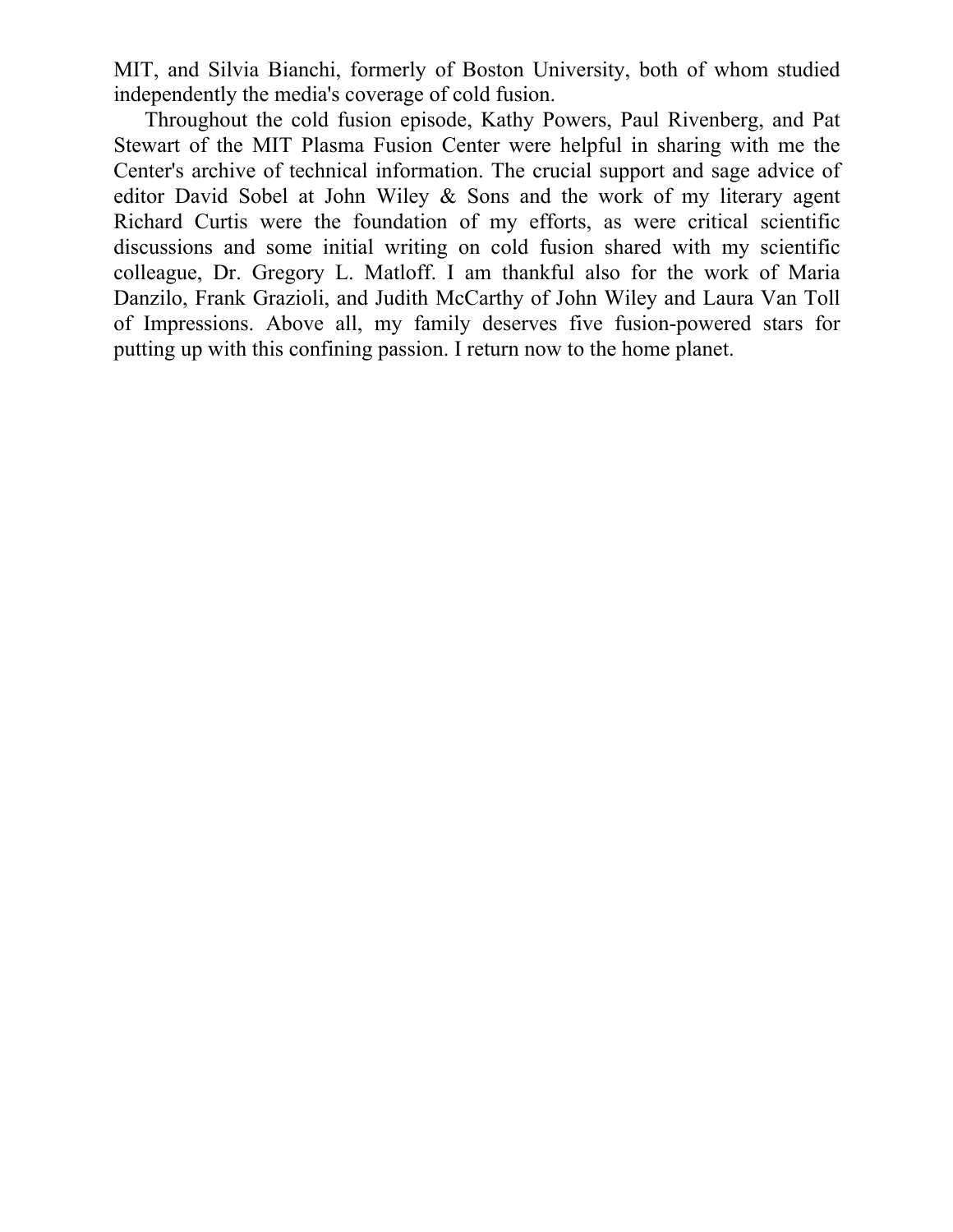MIT, and Silvia Bianchi, formerly of Boston University, both of whom studied independently the media's coverage of cold fusion.

Throughout the cold fusion episode, Kathy Powers, Paul Rivenberg, and Pat Stewart of the MIT Plasma Fusion Center were helpful in sharing with me the Center's archive of technical information. The crucial support and sage advice of editor David Sobel at John Wiley & Sons and the work of my literary agent Richard Curtis were the foundation of my efforts, as were critical scientific discussions and some initial writing on cold fusion shared with my scientific colleague, Dr. Gregory L. Matloff. I am thankful also for the work of Maria Danzilo, Frank Grazioli, and Judith McCarthy of John Wiley and Laura Van Toll of Impressions. Above all, my family deserves five fusion-powered stars for putting up with this confining passion. I return now to the home planet.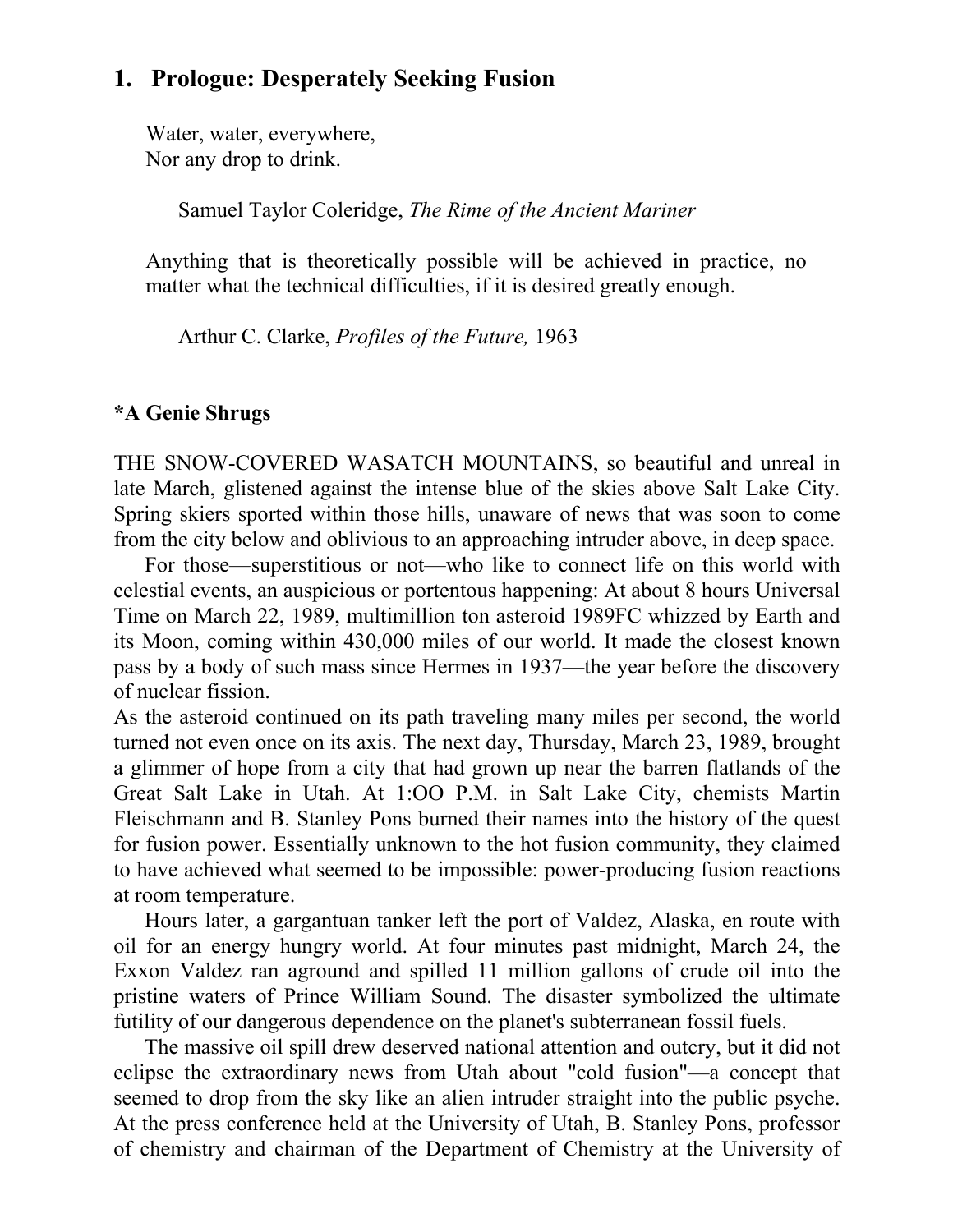# **1. Prologue: Desperately Seeking Fusion**

Water, water, everywhere, Nor any drop to drink.

Samuel Taylor Coleridge, *The Rime of the Ancient Mariner* 

Anything that is theoretically possible will be achieved in practice, no matter what the technical difficulties, if it is desired greatly enough.

Arthur C. Clarke, *Profiles of the Future,* 1963

### **\*A Genie Shrugs**

THE SNOW-COVERED WASATCH MOUNTAINS, so beautiful and unreal in late March, glistened against the intense blue of the skies above Salt Lake City. Spring skiers sported within those hills, unaware of news that was soon to come from the city below and oblivious to an approaching intruder above, in deep space.

For those—superstitious or not—who like to connect life on this world with celestial events, an auspicious or portentous happening: At about 8 hours Universal Time on March 22, 1989, multimillion ton asteroid 1989FC whizzed by Earth and its Moon, coming within 430,000 miles of our world. It made the closest known pass by a body of such mass since Hermes in 1937—the year before the discovery of nuclear fission.

As the asteroid continued on its path traveling many miles per second, the world turned not even once on its axis. The next day, Thursday, March 23, 1989, brought a glimmer of hope from a city that had grown up near the barren flatlands of the Great Salt Lake in Utah. At 1:OO P.M. in Salt Lake City, chemists Martin Fleischmann and B. Stanley Pons burned their names into the history of the quest for fusion power. Essentially unknown to the hot fusion community, they claimed to have achieved what seemed to be impossible: power-producing fusion reactions at room temperature.

Hours later, a gargantuan tanker left the port of Valdez, Alaska, en route with oil for an energy hungry world. At four minutes past midnight, March 24, the Exxon Valdez ran aground and spilled 11 million gallons of crude oil into the pristine waters of Prince William Sound. The disaster symbolized the ultimate futility of our dangerous dependence on the planet's subterranean fossil fuels.

The massive oil spill drew deserved national attention and outcry, but it did not eclipse the extraordinary news from Utah about "cold fusion"—a concept that seemed to drop from the sky like an alien intruder straight into the public psyche. At the press conference held at the University of Utah, B. Stanley Pons, professor of chemistry and chairman of the Department of Chemistry at the University of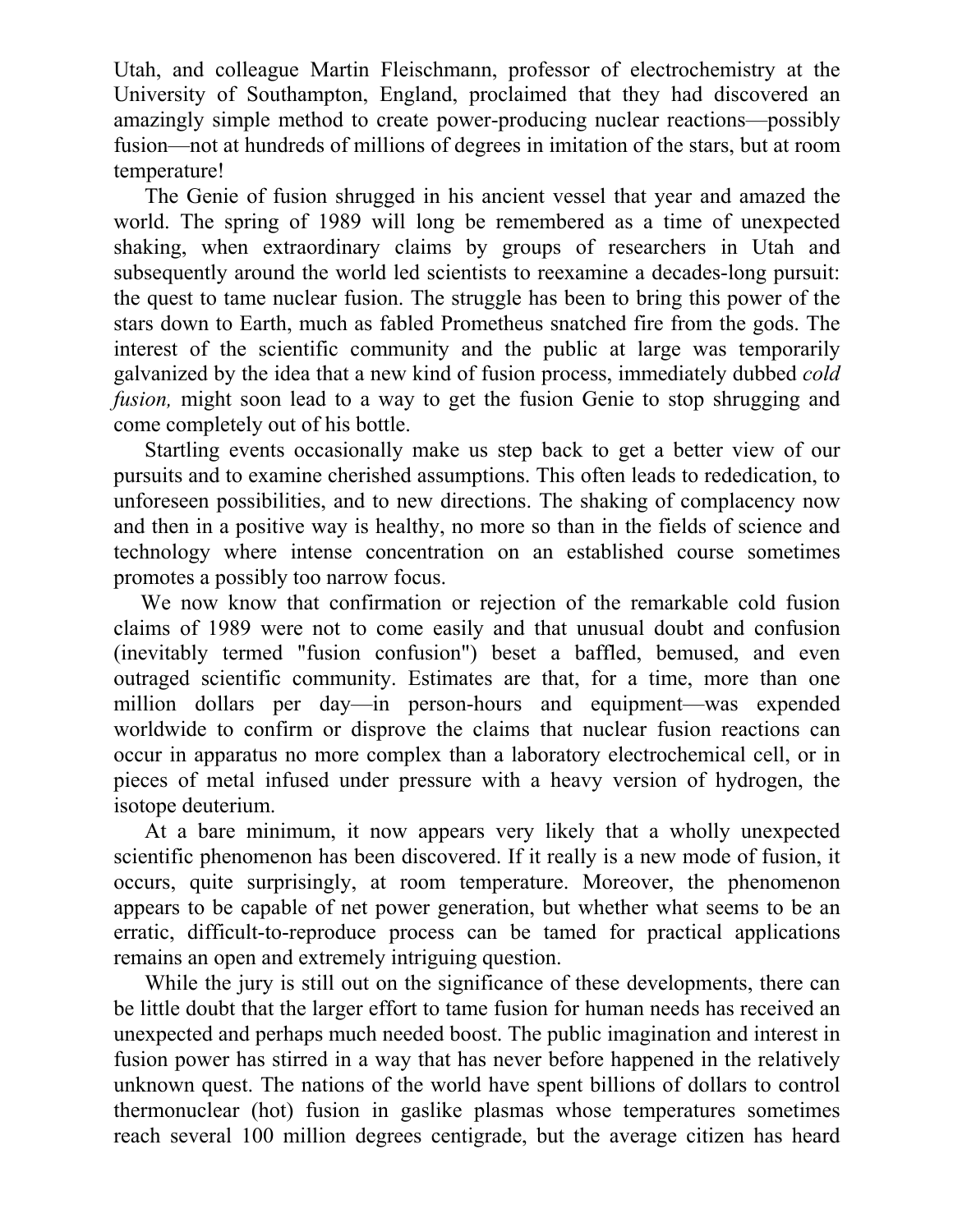Utah, and colleague Martin Fleischmann, professor of electrochemistry at the University of Southampton, England, proclaimed that they had discovered an amazingly simple method to create power-producing nuclear reactions—possibly fusion—not at hundreds of millions of degrees in imitation of the stars, but at room temperature!

The Genie of fusion shrugged in his ancient vessel that year and amazed the world. The spring of 1989 will long be remembered as a time of unexpected shaking, when extraordinary claims by groups of researchers in Utah and subsequently around the world led scientists to reexamine a decades-long pursuit: the quest to tame nuclear fusion. The struggle has been to bring this power of the stars down to Earth, much as fabled Prometheus snatched fire from the gods. The interest of the scientific community and the public at large was temporarily galvanized by the idea that a new kind of fusion process, immediately dubbed *cold fusion*, might soon lead to a way to get the fusion Genie to stop shrugging and come completely out of his bottle.

Startling events occasionally make us step back to get a better view of our pursuits and to examine cherished assumptions. This often leads to rededication, to unforeseen possibilities, and to new directions. The shaking of complacency now and then in a positive way is healthy, no more so than in the fields of science and technology where intense concentration on an established course sometimes promotes a possibly too narrow focus.

 We now know that confirmation or rejection of the remarkable cold fusion claims of 1989 were not to come easily and that unusual doubt and confusion (inevitably termed "fusion confusion") beset a baffled, bemused, and even outraged scientific community. Estimates are that, for a time, more than one million dollars per day—in person-hours and equipment—was expended worldwide to confirm or disprove the claims that nuclear fusion reactions can occur in apparatus no more complex than a laboratory electrochemical cell, or in pieces of metal infused under pressure with a heavy version of hydrogen, the isotope deuterium.

At a bare minimum, it now appears very likely that a wholly unexpected scientific phenomenon has been discovered. If it really is a new mode of fusion, it occurs, quite surprisingly, at room temperature. Moreover, the phenomenon appears to be capable of net power generation, but whether what seems to be an erratic, difficult-to-reproduce process can be tamed for practical applications remains an open and extremely intriguing question.

While the jury is still out on the significance of these developments, there can be little doubt that the larger effort to tame fusion for human needs has received an unexpected and perhaps much needed boost. The public imagination and interest in fusion power has stirred in a way that has never before happened in the relatively unknown quest. The nations of the world have spent billions of dollars to control thermonuclear (hot) fusion in gaslike plasmas whose temperatures sometimes reach several 100 million degrees centigrade, but the average citizen has heard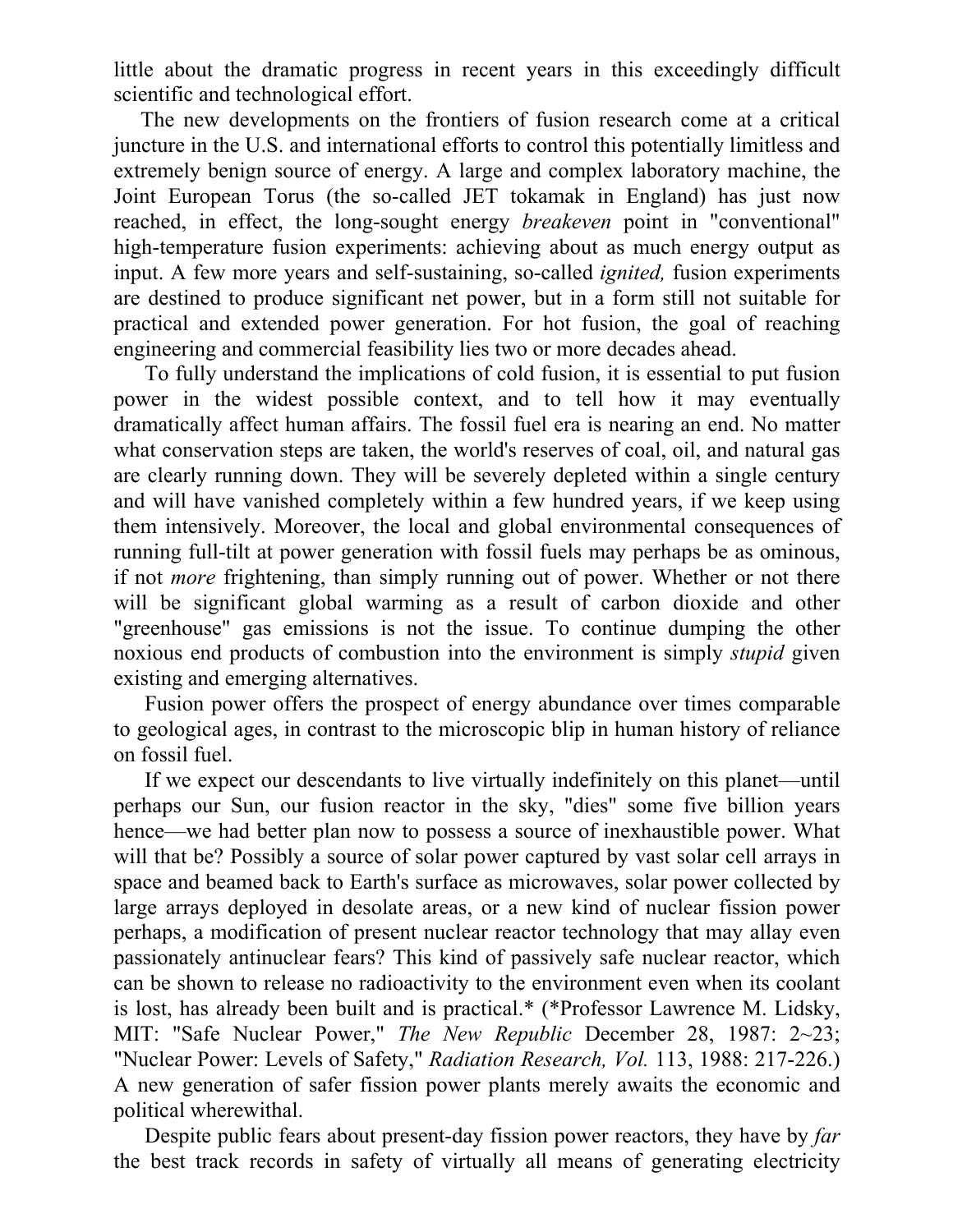little about the dramatic progress in recent years in this exceedingly difficult scientific and technological effort.

 The new developments on the frontiers of fusion research come at a critical juncture in the U.S. and international efforts to control this potentially limitless and extremely benign source of energy. A large and complex laboratory machine, the Joint European Torus (the so-called JET tokamak in England) has just now reached, in effect, the long-sought energy *breakeven* point in "conventional" high-temperature fusion experiments: achieving about as much energy output as input. A few more years and self-sustaining, so-called *ignited,* fusion experiments are destined to produce significant net power, but in a form still not suitable for practical and extended power generation. For hot fusion, the goal of reaching engineering and commercial feasibility lies two or more decades ahead.

To fully understand the implications of cold fusion, it is essential to put fusion power in the widest possible context, and to tell how it may eventually dramatically affect human affairs. The fossil fuel era is nearing an end. No matter what conservation steps are taken, the world's reserves of coal, oil, and natural gas are clearly running down. They will be severely depleted within a single century and will have vanished completely within a few hundred years, if we keep using them intensively. Moreover, the local and global environmental consequences of running full-tilt at power generation with fossil fuels may perhaps be as ominous, if not *more* frightening, than simply running out of power. Whether or not there will be significant global warming as a result of carbon dioxide and other "greenhouse" gas emissions is not the issue. To continue dumping the other noxious end products of combustion into the environment is simply *stupid* given existing and emerging alternatives.

Fusion power offers the prospect of energy abundance over times comparable to geological ages, in contrast to the microscopic blip in human history of reliance on fossil fuel.

If we expect our descendants to live virtually indefinitely on this planet—until perhaps our Sun, our fusion reactor in the sky, "dies" some five billion years hence—we had better plan now to possess a source of inexhaustible power. What will that be? Possibly a source of solar power captured by vast solar cell arrays in space and beamed back to Earth's surface as microwaves, solar power collected by large arrays deployed in desolate areas, or a new kind of nuclear fission power perhaps, a modification of present nuclear reactor technology that may allay even passionately antinuclear fears? This kind of passively safe nuclear reactor, which can be shown to release no radioactivity to the environment even when its coolant is lost, has already been built and is practical.\* (\*Professor Lawrence M. Lidsky, MIT: "Safe Nuclear Power," *The New Republic* December 28, 1987: 2~23; "Nuclear Power: Levels of Safety," *Radiation Research, Vol.* 113, 1988: 217-226.) A new generation of safer fission power plants merely awaits the economic and political wherewithal.

Despite public fears about present-day fission power reactors, they have by *far*  the best track records in safety of virtually all means of generating electricity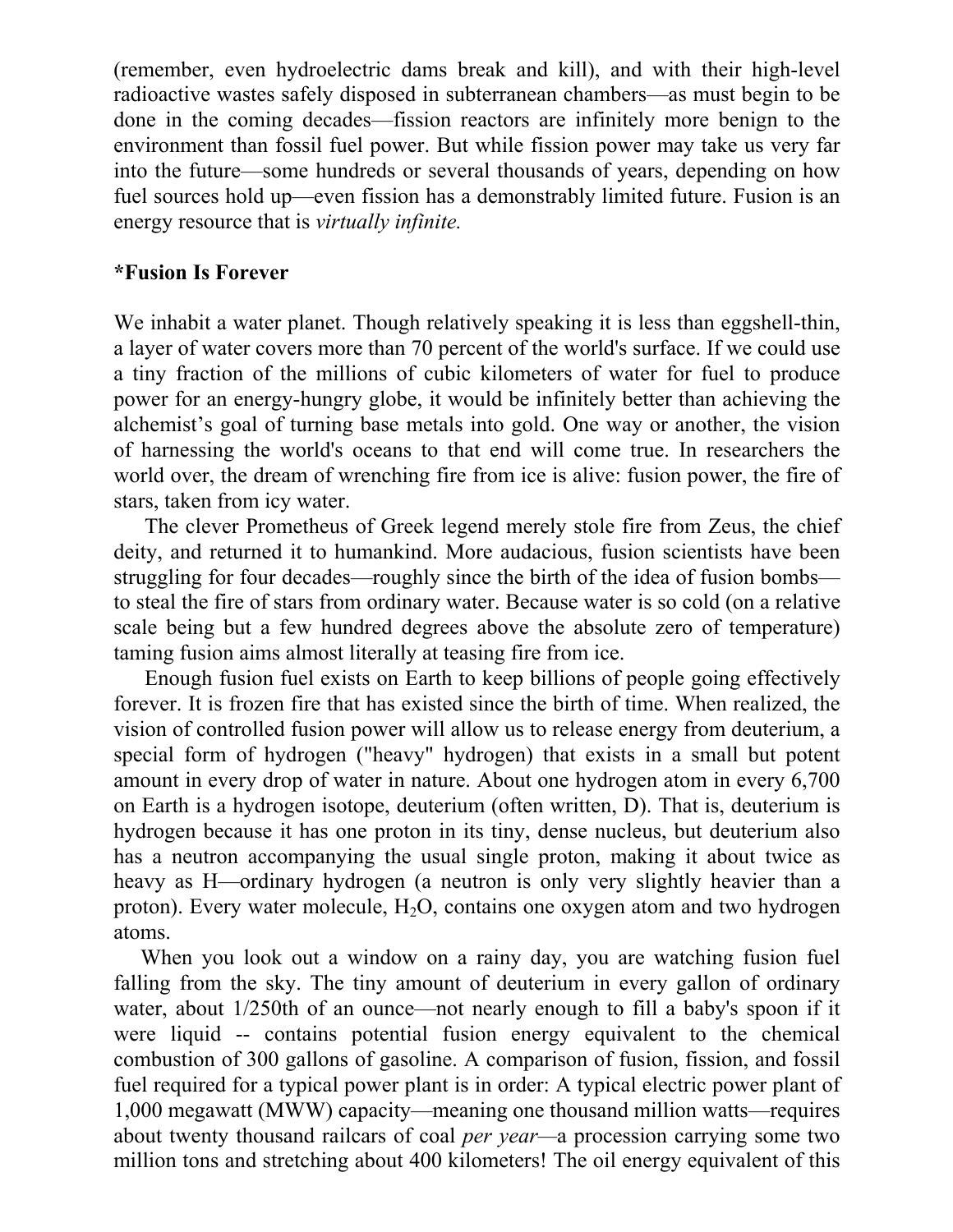(remember, even hydroelectric dams break and kill), and with their high-level radioactive wastes safely disposed in subterranean chambers—as must begin to be done in the coming decades—fission reactors are infinitely more benign to the environment than fossil fuel power. But while fission power may take us very far into the future—some hundreds or several thousands of years, depending on how fuel sources hold up—even fission has a demonstrably limited future. Fusion is an energy resource that is *virtually infinite.* 

#### **\*Fusion Is Forever**

We inhabit a water planet. Though relatively speaking it is less than eggshell-thin, a layer of water covers more than 70 percent of the world's surface. If we could use a tiny fraction of the millions of cubic kilometers of water for fuel to produce power for an energy-hungry globe, it would be infinitely better than achieving the alchemist's goal of turning base metals into gold. One way or another, the vision of harnessing the world's oceans to that end will come true. In researchers the world over, the dream of wrenching fire from ice is alive: fusion power, the fire of stars, taken from icy water.

The clever Prometheus of Greek legend merely stole fire from Zeus, the chief deity, and returned it to humankind. More audacious, fusion scientists have been struggling for four decades—roughly since the birth of the idea of fusion bombs to steal the fire of stars from ordinary water. Because water is so cold (on a relative scale being but a few hundred degrees above the absolute zero of temperature) taming fusion aims almost literally at teasing fire from ice.

Enough fusion fuel exists on Earth to keep billions of people going effectively forever. It is frozen fire that has existed since the birth of time. When realized, the vision of controlled fusion power will allow us to release energy from deuterium, a special form of hydrogen ("heavy" hydrogen) that exists in a small but potent amount in every drop of water in nature. About one hydrogen atom in every 6,700 on Earth is a hydrogen isotope, deuterium (often written, D). That is, deuterium is hydrogen because it has one proton in its tiny, dense nucleus, but deuterium also has a neutron accompanying the usual single proton, making it about twice as heavy as H—ordinary hydrogen (a neutron is only very slightly heavier than a proton). Every water molecule,  $H_2O$ , contains one oxygen atom and two hydrogen atoms.

 When you look out a window on a rainy day, you are watching fusion fuel falling from the sky. The tiny amount of deuterium in every gallon of ordinary water, about 1/250th of an ounce—not nearly enough to fill a baby's spoon if it were liquid -- contains potential fusion energy equivalent to the chemical combustion of 300 gallons of gasoline. A comparison of fusion, fission, and fossil fuel required for a typical power plant is in order: A typical electric power plant of 1,000 megawatt (MWW) capacity—meaning one thousand million watts—requires about twenty thousand railcars of coal *per year—*a procession carrying some two million tons and stretching about 400 kilometers! The oil energy equivalent of this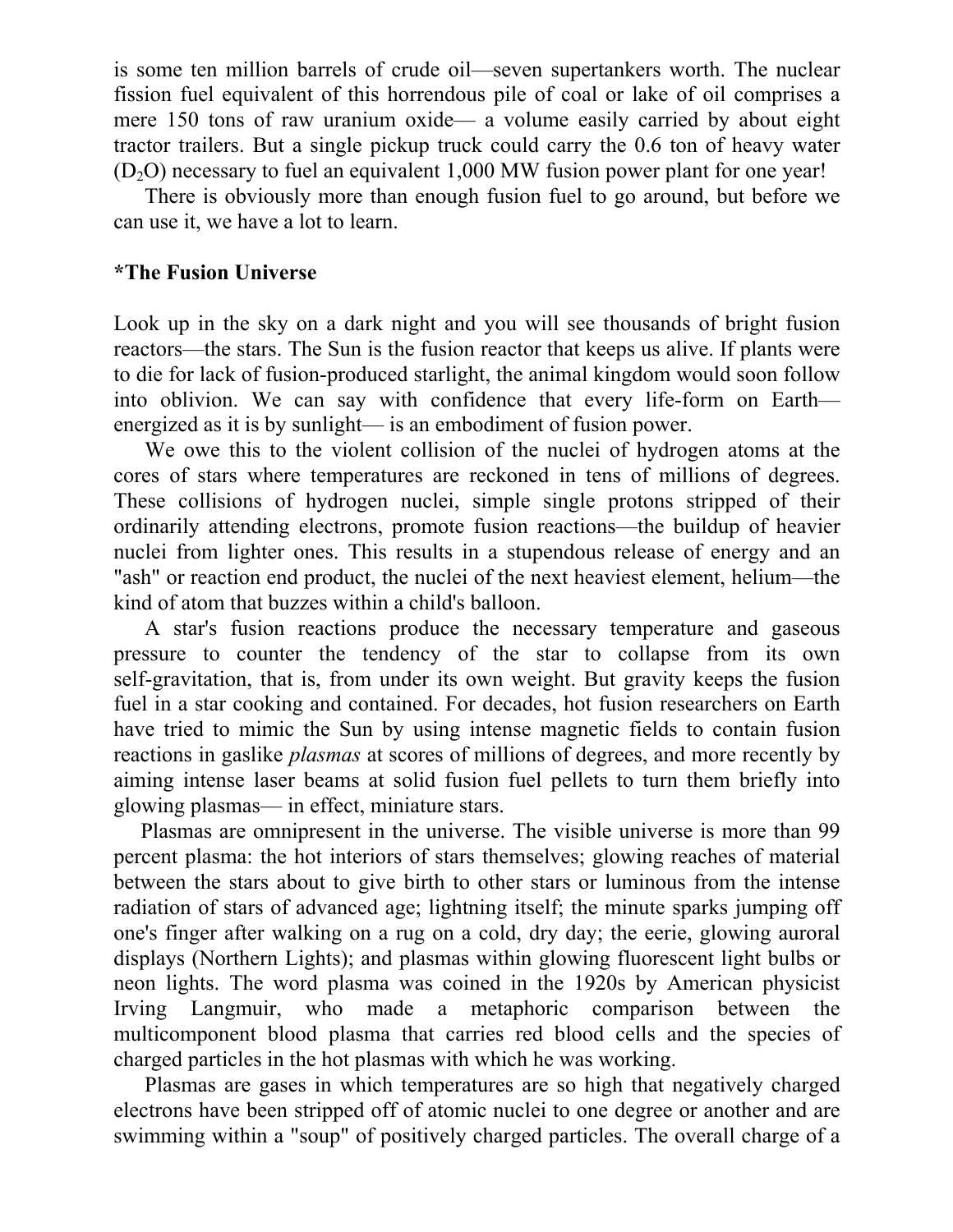is some ten million barrels of crude oil—seven supertankers worth. The nuclear fission fuel equivalent of this horrendous pile of coal or lake of oil comprises a mere 150 tons of raw uranium oxide— a volume easily carried by about eight tractor trailers. But a single pickup truck could carry the 0.6 ton of heavy water  $(D<sub>2</sub>O)$  necessary to fuel an equivalent 1,000 MW fusion power plant for one year!

There is obviously more than enough fusion fuel to go around, but before we can use it, we have a lot to learn.

#### **\*The Fusion Universe**

Look up in the sky on a dark night and you will see thousands of bright fusion reactors—the stars. The Sun is the fusion reactor that keeps us alive. If plants were to die for lack of fusion-produced starlight, the animal kingdom would soon follow into oblivion. We can say with confidence that every life-form on Earth energized as it is by sunlight— is an embodiment of fusion power.

We owe this to the violent collision of the nuclei of hydrogen atoms at the cores of stars where temperatures are reckoned in tens of millions of degrees. These collisions of hydrogen nuclei, simple single protons stripped of their ordinarily attending electrons, promote fusion reactions—the buildup of heavier nuclei from lighter ones. This results in a stupendous release of energy and an "ash" or reaction end product, the nuclei of the next heaviest element, helium—the kind of atom that buzzes within a child's balloon.

A star's fusion reactions produce the necessary temperature and gaseous pressure to counter the tendency of the star to collapse from its own self-gravitation, that is, from under its own weight. But gravity keeps the fusion fuel in a star cooking and contained. For decades, hot fusion researchers on Earth have tried to mimic the Sun by using intense magnetic fields to contain fusion reactions in gaslike *plasmas* at scores of millions of degrees, and more recently by aiming intense laser beams at solid fusion fuel pellets to turn them briefly into glowing plasmas— in effect, miniature stars.

 Plasmas are omnipresent in the universe. The visible universe is more than 99 percent plasma: the hot interiors of stars themselves; glowing reaches of material between the stars about to give birth to other stars or luminous from the intense radiation of stars of advanced age; lightning itself; the minute sparks jumping off one's finger after walking on a rug on a cold, dry day; the eerie, glowing auroral displays (Northern Lights); and plasmas within glowing fluorescent light bulbs or neon lights. The word plasma was coined in the 1920s by American physicist Irving Langmuir, who made a metaphoric comparison between the multicomponent blood plasma that carries red blood cells and the species of charged particles in the hot plasmas with which he was working.

Plasmas are gases in which temperatures are so high that negatively charged electrons have been stripped off of atomic nuclei to one degree or another and are swimming within a "soup" of positively charged particles. The overall charge of a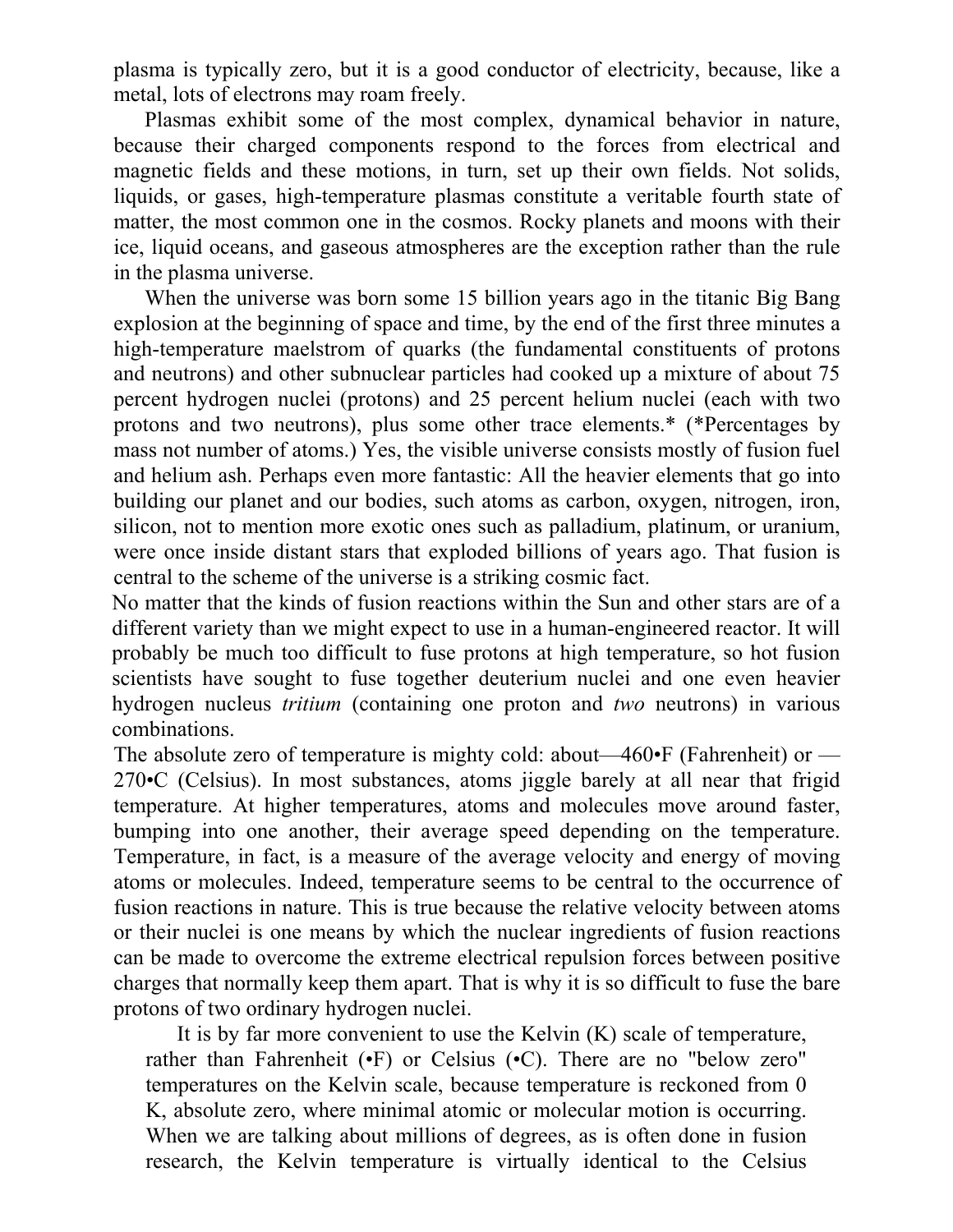plasma is typically zero, but it is a good conductor of electricity, because, like a metal, lots of electrons may roam freely.

Plasmas exhibit some of the most complex, dynamical behavior in nature, because their charged components respond to the forces from electrical and magnetic fields and these motions, in turn, set up their own fields. Not solids, liquids, or gases, high-temperature plasmas constitute a veritable fourth state of matter, the most common one in the cosmos. Rocky planets and moons with their ice, liquid oceans, and gaseous atmospheres are the exception rather than the rule in the plasma universe.

When the universe was born some 15 billion years ago in the titanic Big Bang explosion at the beginning of space and time, by the end of the first three minutes a high-temperature maelstrom of quarks (the fundamental constituents of protons and neutrons) and other subnuclear particles had cooked up a mixture of about 75 percent hydrogen nuclei (protons) and 25 percent helium nuclei (each with two protons and two neutrons), plus some other trace elements.\* (\*Percentages by mass not number of atoms.) Yes, the visible universe consists mostly of fusion fuel and helium ash. Perhaps even more fantastic: All the heavier elements that go into building our planet and our bodies, such atoms as carbon, oxygen, nitrogen, iron, silicon, not to mention more exotic ones such as palladium, platinum, or uranium, were once inside distant stars that exploded billions of years ago. That fusion is central to the scheme of the universe is a striking cosmic fact.

No matter that the kinds of fusion reactions within the Sun and other stars are of a different variety than we might expect to use in a human-engineered reactor. It will probably be much too difficult to fuse protons at high temperature, so hot fusion scientists have sought to fuse together deuterium nuclei and one even heavier hydrogen nucleus *tritium* (containing one proton and *two* neutrons) in various combinations.

The absolute zero of temperature is mighty cold: about—460 $\cdot$ F (Fahrenheit) or — 270•C (Celsius). In most substances, atoms jiggle barely at all near that frigid temperature. At higher temperatures, atoms and molecules move around faster, bumping into one another, their average speed depending on the temperature. Temperature, in fact, is a measure of the average velocity and energy of moving atoms or molecules. Indeed, temperature seems to be central to the occurrence of fusion reactions in nature. This is true because the relative velocity between atoms or their nuclei is one means by which the nuclear ingredients of fusion reactions can be made to overcome the extreme electrical repulsion forces between positive charges that normally keep them apart. That is why it is so difficult to fuse the bare protons of two ordinary hydrogen nuclei.

It is by far more convenient to use the Kelvin (K) scale of temperature, rather than Fahrenheit ( $\cdot$ F) or Celsius ( $\cdot$ C). There are no "below zero" temperatures on the Kelvin scale, because temperature is reckoned from 0 K, absolute zero, where minimal atomic or molecular motion is occurring. When we are talking about millions of degrees, as is often done in fusion research, the Kelvin temperature is virtually identical to the Celsius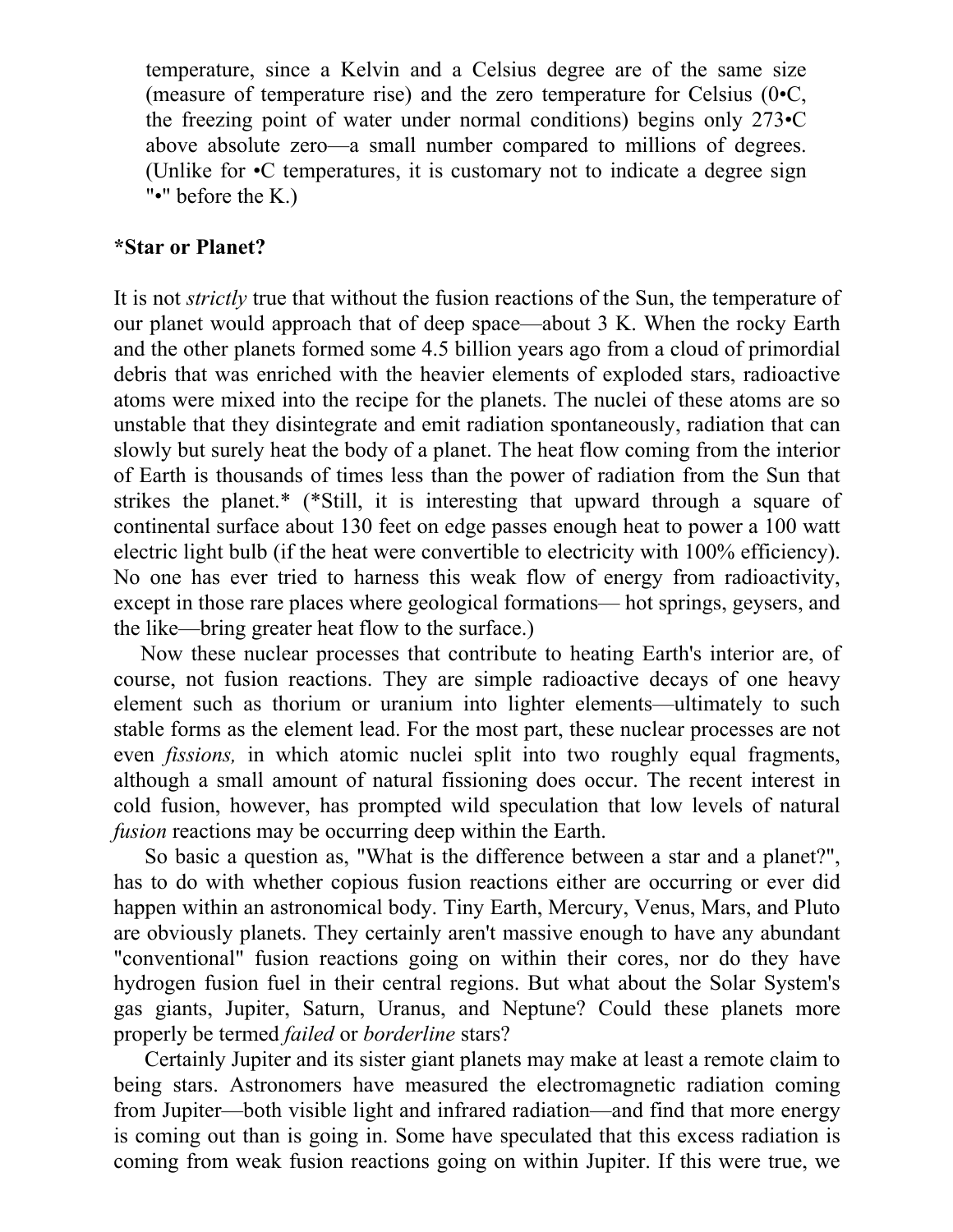temperature, since a Kelvin and a Celsius degree are of the same size (measure of temperature rise) and the zero temperature for Celsius (0•C, the freezing point of water under normal conditions) begins only 273•C above absolute zero—a small number compared to millions of degrees. (Unlike for •C temperatures, it is customary not to indicate a degree sign "•" before the K.)

### **\*Star or Planet?**

It is not *strictly* true that without the fusion reactions of the Sun, the temperature of our planet would approach that of deep space—about 3 K. When the rocky Earth and the other planets formed some 4.5 billion years ago from a cloud of primordial debris that was enriched with the heavier elements of exploded stars, radioactive atoms were mixed into the recipe for the planets. The nuclei of these atoms are so unstable that they disintegrate and emit radiation spontaneously, radiation that can slowly but surely heat the body of a planet. The heat flow coming from the interior of Earth is thousands of times less than the power of radiation from the Sun that strikes the planet.\* (\*Still, it is interesting that upward through a square of continental surface about 130 feet on edge passes enough heat to power a 100 watt electric light bulb (if the heat were convertible to electricity with 100% efficiency). No one has ever tried to harness this weak flow of energy from radioactivity, except in those rare places where geological formations— hot springs, geysers, and the like—bring greater heat flow to the surface.)

 Now these nuclear processes that contribute to heating Earth's interior are, of course, not fusion reactions. They are simple radioactive decays of one heavy element such as thorium or uranium into lighter elements—ultimately to such stable forms as the element lead. For the most part, these nuclear processes are not even *fissions,* in which atomic nuclei split into two roughly equal fragments, although a small amount of natural fissioning does occur. The recent interest in cold fusion, however, has prompted wild speculation that low levels of natural *fusion* reactions may be occurring deep within the Earth.

So basic a question as, "What is the difference between a star and a planet?", has to do with whether copious fusion reactions either are occurring or ever did happen within an astronomical body. Tiny Earth, Mercury, Venus, Mars, and Pluto are obviously planets. They certainly aren't massive enough to have any abundant "conventional" fusion reactions going on within their cores, nor do they have hydrogen fusion fuel in their central regions. But what about the Solar System's gas giants, Jupiter, Saturn, Uranus, and Neptune? Could these planets more properly be termed *failed* or *borderline* stars?

Certainly Jupiter and its sister giant planets may make at least a remote claim to being stars. Astronomers have measured the electromagnetic radiation coming from Jupiter—both visible light and infrared radiation—and find that more energy is coming out than is going in. Some have speculated that this excess radiation is coming from weak fusion reactions going on within Jupiter. If this were true, we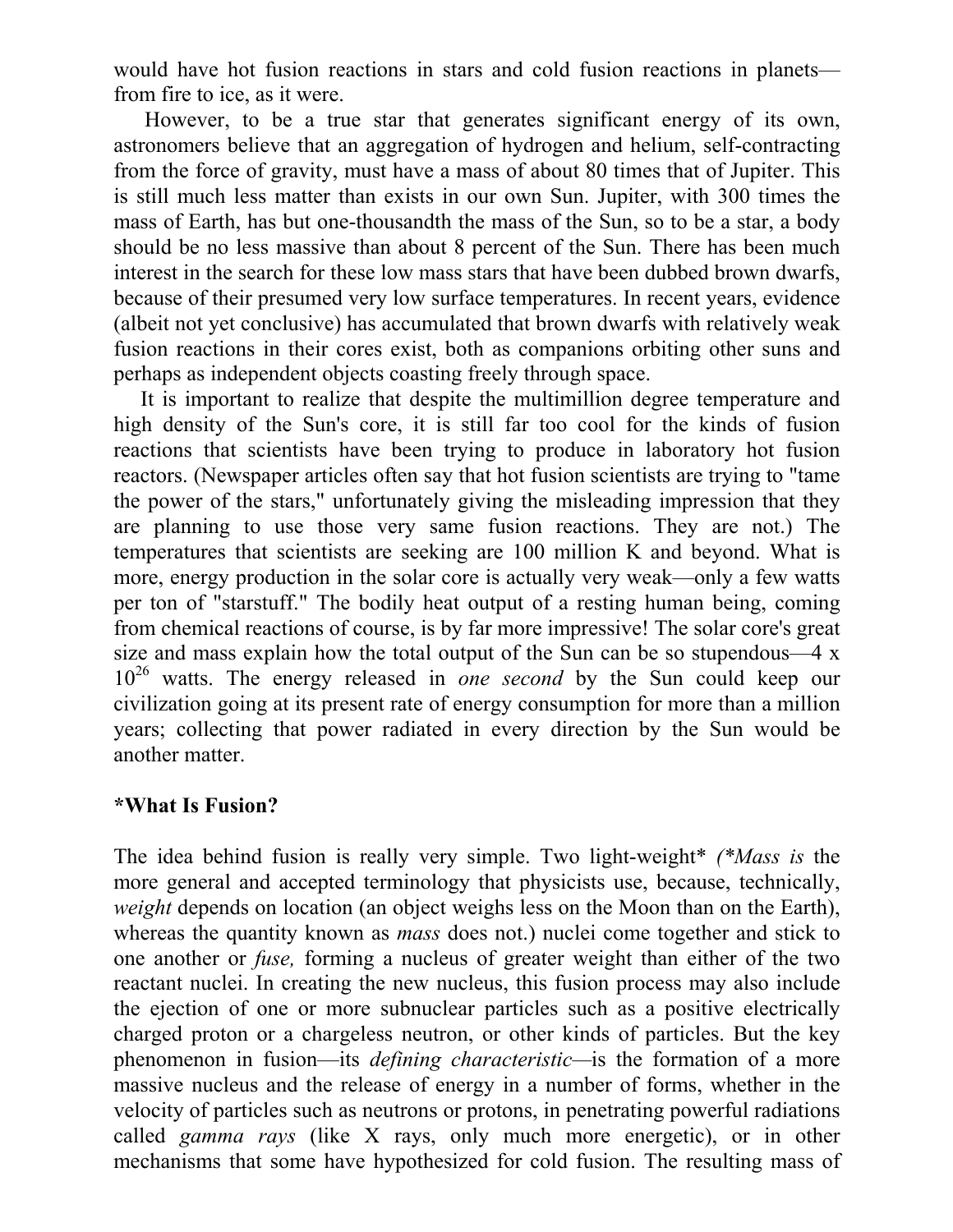would have hot fusion reactions in stars and cold fusion reactions in planets from fire to ice, as it were.

However, to be a true star that generates significant energy of its own, astronomers believe that an aggregation of hydrogen and helium, self-contracting from the force of gravity, must have a mass of about 80 times that of Jupiter. This is still much less matter than exists in our own Sun. Jupiter, with 300 times the mass of Earth, has but one-thousandth the mass of the Sun, so to be a star, a body should be no less massive than about 8 percent of the Sun. There has been much interest in the search for these low mass stars that have been dubbed brown dwarfs, because of their presumed very low surface temperatures. In recent years, evidence (albeit not yet conclusive) has accumulated that brown dwarfs with relatively weak fusion reactions in their cores exist, both as companions orbiting other suns and perhaps as independent objects coasting freely through space.

 It is important to realize that despite the multimillion degree temperature and high density of the Sun's core, it is still far too cool for the kinds of fusion reactions that scientists have been trying to produce in laboratory hot fusion reactors. (Newspaper articles often say that hot fusion scientists are trying to "tame the power of the stars," unfortunately giving the misleading impression that they are planning to use those very same fusion reactions. They are not.) The temperatures that scientists are seeking are 100 million K and beyond. What is more, energy production in the solar core is actually very weak—only a few watts per ton of "starstuff." The bodily heat output of a resting human being, coming from chemical reactions of course, is by far more impressive! The solar core's great size and mass explain how the total output of the Sun can be so stupendous—4 x 1026 watts. The energy released in *one second* by the Sun could keep our civilization going at its present rate of energy consumption for more than a million years; collecting that power radiated in every direction by the Sun would be another matter.

#### **\*What Is Fusion?**

The idea behind fusion is really very simple. Two light-weight\* *(\*Mass is* the more general and accepted terminology that physicists use, because, technically, *weight* depends on location (an object weighs less on the Moon than on the Earth), whereas the quantity known as *mass* does not.) nuclei come together and stick to one another or *fuse,* forming a nucleus of greater weight than either of the two reactant nuclei. In creating the new nucleus, this fusion process may also include the ejection of one or more subnuclear particles such as a positive electrically charged proton or a chargeless neutron, or other kinds of particles. But the key phenomenon in fusion—its *defining characteristic—*is the formation of a more massive nucleus and the release of energy in a number of forms, whether in the velocity of particles such as neutrons or protons, in penetrating powerful radiations called *gamma rays* (like X rays, only much more energetic), or in other mechanisms that some have hypothesized for cold fusion. The resulting mass of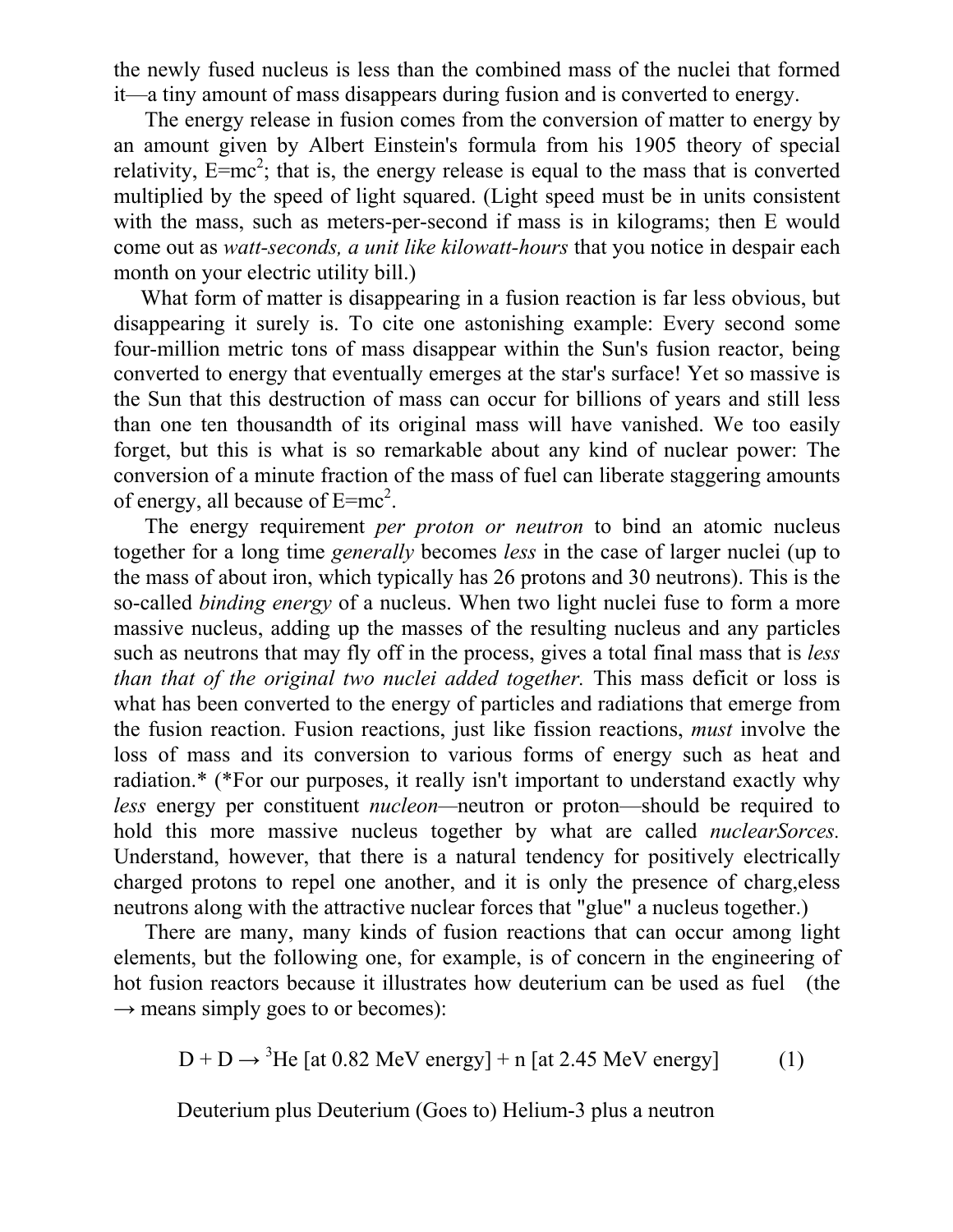the newly fused nucleus is less than the combined mass of the nuclei that formed it—a tiny amount of mass disappears during fusion and is converted to energy.

The energy release in fusion comes from the conversion of matter to energy by an amount given by Albert Einstein's formula from his 1905 theory of special relativity,  $E=mc^2$ ; that is, the energy release is equal to the mass that is converted multiplied by the speed of light squared. (Light speed must be in units consistent with the mass, such as meters-per-second if mass is in kilograms; then E would come out as *watt-seconds, a unit like kilowatt-hours* that you notice in despair each month on your electric utility bill.)

 What form of matter is disappearing in a fusion reaction is far less obvious, but disappearing it surely is. To cite one astonishing example: Every second some four-million metric tons of mass disappear within the Sun's fusion reactor, being converted to energy that eventually emerges at the star's surface! Yet so massive is the Sun that this destruction of mass can occur for billions of years and still less than one ten thousandth of its original mass will have vanished. We too easily forget, but this is what is so remarkable about any kind of nuclear power: The conversion of a minute fraction of the mass of fuel can liberate staggering amounts of energy, all because of  $E=mc^2$ .

The energy requirement *per proton or neutron* to bind an atomic nucleus together for a long time *generally* becomes *less* in the case of larger nuclei (up to the mass of about iron, which typically has 26 protons and 30 neutrons). This is the so-called *binding energy* of a nucleus. When two light nuclei fuse to form a more massive nucleus, adding up the masses of the resulting nucleus and any particles such as neutrons that may fly off in the process, gives a total final mass that is *less than that of the original two nuclei added together.* This mass deficit or loss is what has been converted to the energy of particles and radiations that emerge from the fusion reaction. Fusion reactions, just like fission reactions, *must* involve the loss of mass and its conversion to various forms of energy such as heat and radiation.\* (\*For our purposes, it really isn't important to understand exactly why *less* energy per constituent *nucleon—*neutron or proton—should be required to hold this more massive nucleus together by what are called *nuclearSorces.*  Understand, however, that there is a natural tendency for positively electrically charged protons to repel one another, and it is only the presence of charg,eless neutrons along with the attractive nuclear forces that "glue" a nucleus together.)

There are many, many kinds of fusion reactions that can occur among light elements, but the following one, for example, is of concern in the engineering of hot fusion reactors because it illustrates how deuterium can be used as fuel (the  $\rightarrow$  means simply goes to or becomes):

 $D + D \rightarrow$ <sup>3</sup>He [at 0.82 MeV energy] + n [at 2.45 MeV energy] (1)

Deuterium plus Deuterium (Goes to) Helium-3 plus a neutron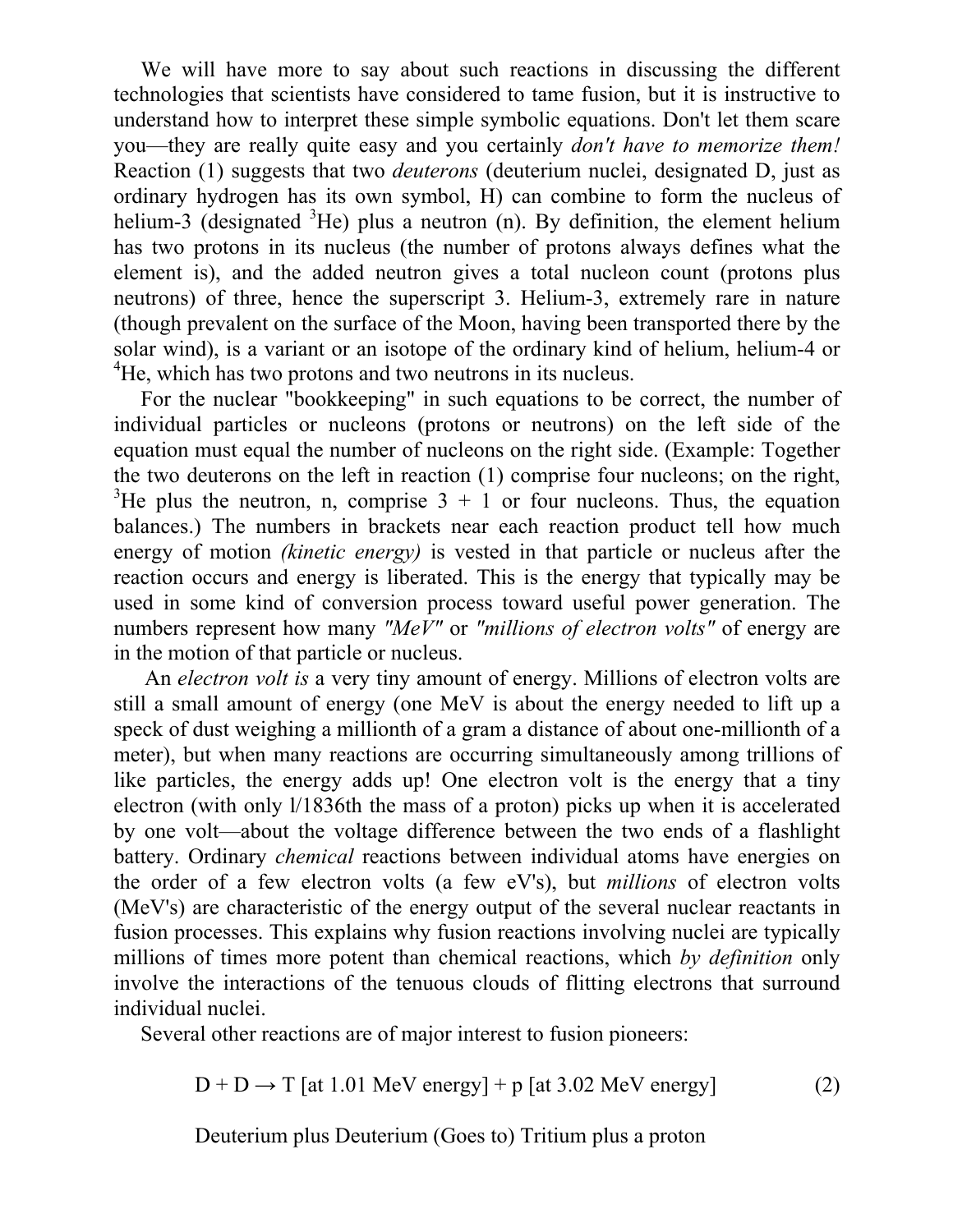We will have more to say about such reactions in discussing the different technologies that scientists have considered to tame fusion, but it is instructive to understand how to interpret these simple symbolic equations. Don't let them scare you—they are really quite easy and you certainly *don't have to memorize them!*  Reaction (1) suggests that two *deuterons* (deuterium nuclei, designated D, just as ordinary hydrogen has its own symbol, H) can combine to form the nucleus of helium-3 (designated  ${}^{3}$ He) plus a neutron (n). By definition, the element helium has two protons in its nucleus (the number of protons always defines what the element is), and the added neutron gives a total nucleon count (protons plus neutrons) of three, hence the superscript 3. Helium-3, extremely rare in nature (though prevalent on the surface of the Moon, having been transported there by the solar wind), is a variant or an isotope of the ordinary kind of helium, helium-4 or <sup>4</sup>He, which has two protons and two neutrons in its nucleus.

 For the nuclear "bookkeeping" in such equations to be correct, the number of individual particles or nucleons (protons or neutrons) on the left side of the equation must equal the number of nucleons on the right side. (Example: Together the two deuterons on the left in reaction (1) comprise four nucleons; on the right, <sup>3</sup>He plus the neutron, n, comprise  $3 + 1$  or four nucleons. Thus, the equation balances.) The numbers in brackets near each reaction product tell how much energy of motion *(kinetic energy)* is vested in that particle or nucleus after the reaction occurs and energy is liberated. This is the energy that typically may be used in some kind of conversion process toward useful power generation. The numbers represent how many *"MeV"* or *"millions of electron volts"* of energy are in the motion of that particle or nucleus.

An *electron volt is* a very tiny amount of energy. Millions of electron volts are still a small amount of energy (one MeV is about the energy needed to lift up a speck of dust weighing a millionth of a gram a distance of about one-millionth of a meter), but when many reactions are occurring simultaneously among trillions of like particles, the energy adds up! One electron volt is the energy that a tiny electron (with only l/1836th the mass of a proton) picks up when it is accelerated by one volt—about the voltage difference between the two ends of a flashlight battery. Ordinary *chemical* reactions between individual atoms have energies on the order of a few electron volts (a few eV's), but *millions* of electron volts (MeV's) are characteristic of the energy output of the several nuclear reactants in fusion processes. This explains why fusion reactions involving nuclei are typically millions of times more potent than chemical reactions, which *by definition* only involve the interactions of the tenuous clouds of flitting electrons that surround individual nuclei.

Several other reactions are of major interest to fusion pioneers:

 $D + D \rightarrow T$  [at 1.01 MeV energy] + p [at 3.02 MeV energy] (2)

Deuterium plus Deuterium (Goes to) Tritium plus a proton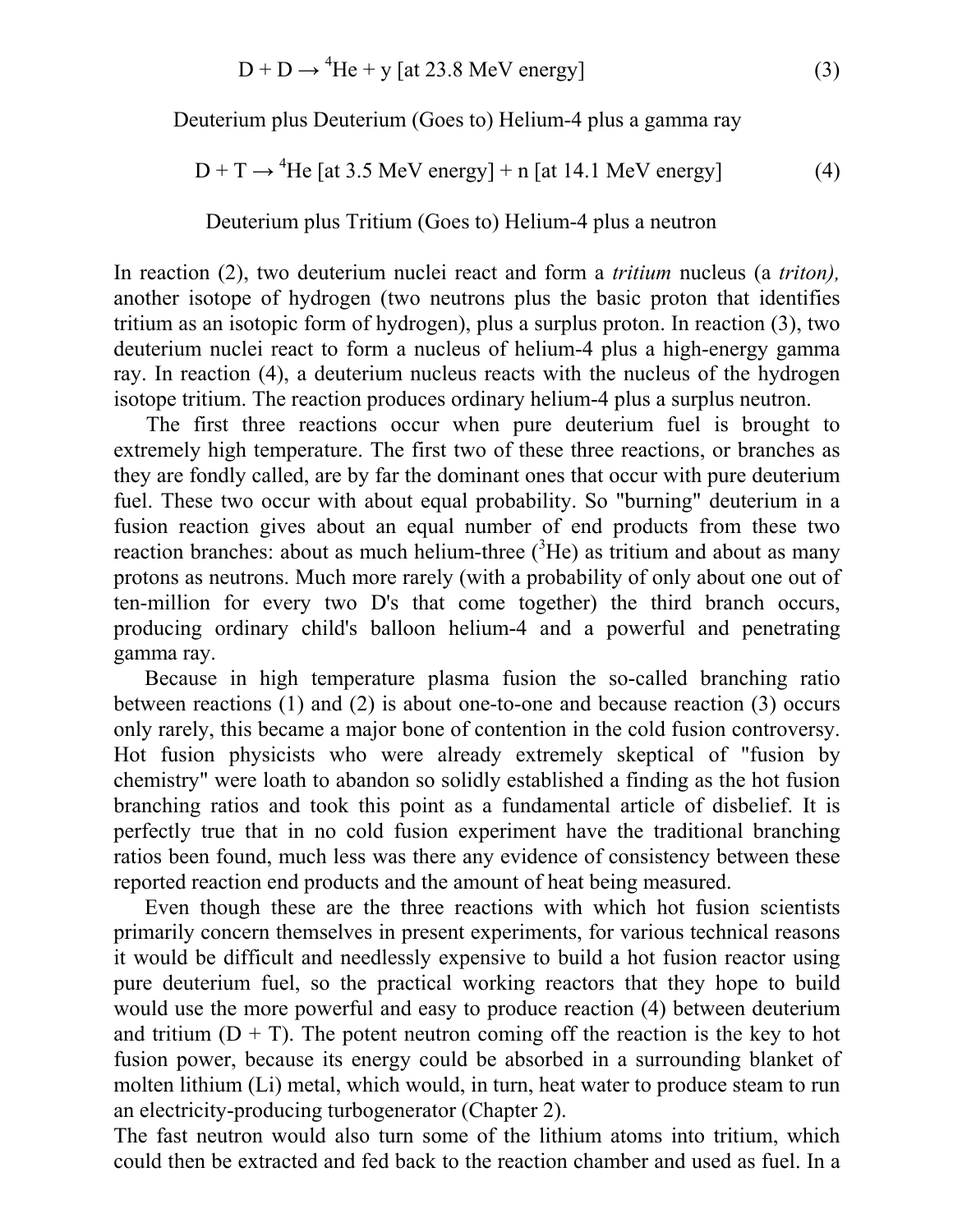$$
D + D \rightarrow {}^{4}\text{He} + y \text{ [at 23.8 MeV energy]}
$$
 (3)

Deuterium plus Deuterium (Goes to) Helium-4 plus a gamma ray

$$
D + T \rightarrow {}^{4}\text{He} \text{ [at 3.5 MeV energy]} + n \text{ [at 14.1 MeV energy]} \tag{4}
$$

Deuterium plus Tritium (Goes to) Helium-4 plus a neutron

In reaction (2), two deuterium nuclei react and form a *tritium* nucleus (a *triton),*  another isotope of hydrogen (two neutrons plus the basic proton that identifies tritium as an isotopic form of hydrogen), plus a surplus proton. In reaction (3), two deuterium nuclei react to form a nucleus of helium-4 plus a high-energy gamma ray. In reaction (4), a deuterium nucleus reacts with the nucleus of the hydrogen isotope tritium. The reaction produces ordinary helium-4 plus a surplus neutron.

 The first three reactions occur when pure deuterium fuel is brought to extremely high temperature. The first two of these three reactions, or branches as they are fondly called, are by far the dominant ones that occur with pure deuterium fuel. These two occur with about equal probability. So "burning" deuterium in a fusion reaction gives about an equal number of end products from these two reaction branches: about as much helium-three  $(^{3}He)$  as tritium and about as many protons as neutrons. Much more rarely (with a probability of only about one out of ten-million for every two D's that come together) the third branch occurs, producing ordinary child's balloon helium-4 and a powerful and penetrating gamma ray.

Because in high temperature plasma fusion the so-called branching ratio between reactions (1) and (2) is about one-to-one and because reaction (3) occurs only rarely, this became a major bone of contention in the cold fusion controversy. Hot fusion physicists who were already extremely skeptical of "fusion by chemistry" were loath to abandon so solidly established a finding as the hot fusion branching ratios and took this point as a fundamental article of disbelief. It is perfectly true that in no cold fusion experiment have the traditional branching ratios been found, much less was there any evidence of consistency between these reported reaction end products and the amount of heat being measured.

Even though these are the three reactions with which hot fusion scientists primarily concern themselves in present experiments, for various technical reasons it would be difficult and needlessly expensive to build a hot fusion reactor using pure deuterium fuel, so the practical working reactors that they hope to build would use the more powerful and easy to produce reaction (4) between deuterium and tritium  $(D + T)$ . The potent neutron coming off the reaction is the key to hot fusion power, because its energy could be absorbed in a surrounding blanket of molten lithium (Li) metal, which would, in turn, heat water to produce steam to run an electricity-producing turbogenerator (Chapter 2).

The fast neutron would also turn some of the lithium atoms into tritium, which could then be extracted and fed back to the reaction chamber and used as fuel. In a